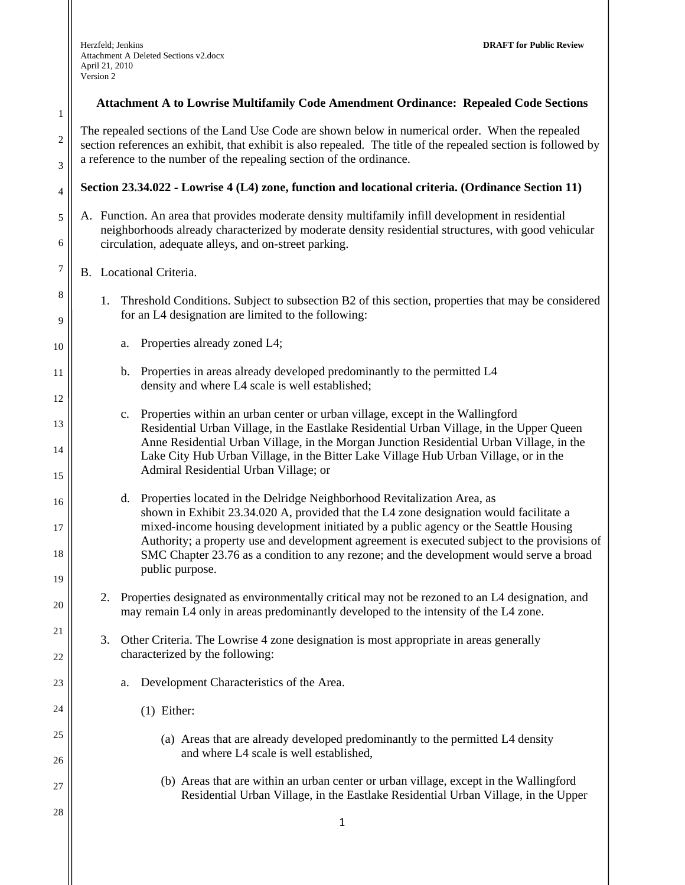1

2

3

4

5

6

7

8

9

10

11

12

13

14

15

16

17

18

19

20

21

22

23

24

25

26

27

28

#### **Attachment A to Lowrise Multifamily Code Amendment Ordinance: Repealed Code Sections**

The repealed sections of the Land Use Code are shown below in numerical order. When the repealed section references an exhibit, that exhibit is also repealed. The title of the repealed section is followed by a reference to the number of the repealing section of the ordinance.

#### **Section 23.34.022 - Lowrise 4 (L4) zone, function and locational criteria. (Ordinance Section 11)**

A. Function. An area that provides moderate density multifamily infill development in residential neighborhoods already characterized by moderate density residential structures, with good vehicular circulation, adequate alleys, and on-street parking.

## B. Locational Criteria.

- 1. Threshold Conditions. Subject to subsection B2 of this section, properties that may be considered for an L4 designation are limited to the following:
	- a. Properties already zoned L4;
	- b. Properties in areas already developed predominantly to the permitted L4 density and where L4 scale is well established;
	- c. Properties within an urban center or urban village, except in the Wallingford Residential Urban Village, in the Eastlake Residential Urban Village, in the Upper Queen Anne Residential Urban Village, in the Morgan Junction Residential Urban Village, in the Lake City Hub Urban Village, in the Bitter Lake Village Hub Urban Village, or in the Admiral Residential Urban Village; or
	- d. Properties located in the Delridge Neighborhood Revitalization Area, as shown in Exhibit 23.34.020 A, provided that the L4 zone designation would facilitate a mixed-income housing development initiated by a public agency or the Seattle Housing Authority; a property use and development agreement is executed subject to the provisions of SMC Chapter 23.76 as a condition to any rezone; and the development would serve a broad public purpose.
- 2. Properties designated as environmentally critical may not be rezoned to an L4 designation, and may remain L4 only in areas predominantly developed to the intensity of the L4 zone.
- 3. Other Criteria. The Lowrise 4 zone designation is most appropriate in areas generally characterized by the following:
	- a. Development Characteristics of the Area.
		- (1) Either:
			- (a) Areas that are already developed predominantly to the permitted L4 density and where L4 scale is well established,
			- (b) Areas that are within an urban center or urban village, except in the Wallingford Residential Urban Village, in the Eastlake Residential Urban Village, in the Upper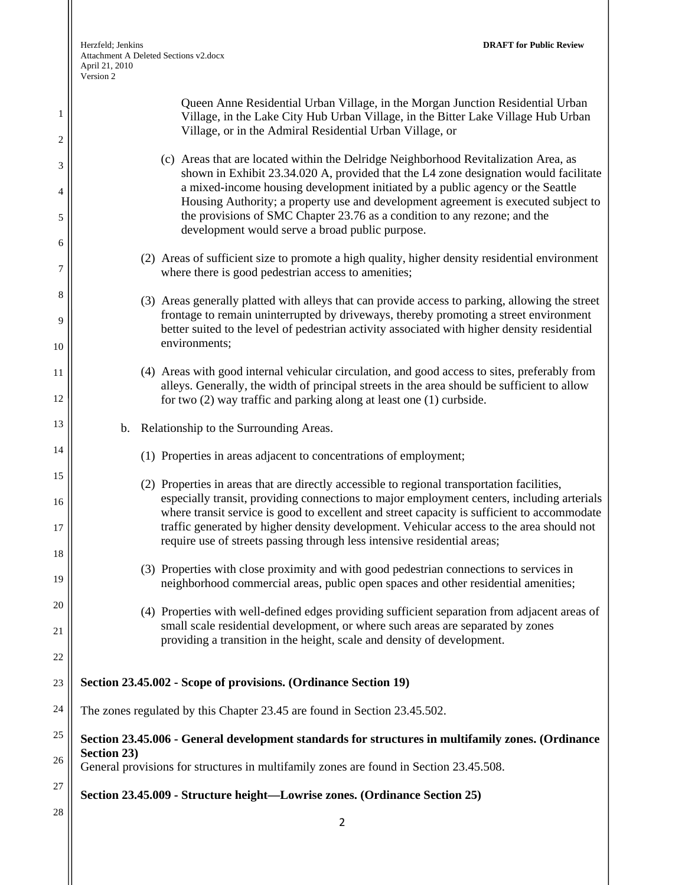| 1<br>$\overline{c}$ | Queen Anne Residential Urban Village, in the Morgan Junction Residential Urban<br>Village, in the Lake City Hub Urban Village, in the Bitter Lake Village Hub Urban<br>Village, or in the Admiral Residential Urban Village, or                                                                                                                                                                                                  |
|---------------------|----------------------------------------------------------------------------------------------------------------------------------------------------------------------------------------------------------------------------------------------------------------------------------------------------------------------------------------------------------------------------------------------------------------------------------|
| 3<br>4              | (c) Areas that are located within the Delridge Neighborhood Revitalization Area, as<br>shown in Exhibit 23.34.020 A, provided that the L4 zone designation would facilitate<br>a mixed-income housing development initiated by a public agency or the Seattle<br>Housing Authority; a property use and development agreement is executed subject to<br>the provisions of SMC Chapter 23.76 as a condition to any rezone; and the |
| 5                   | development would serve a broad public purpose.                                                                                                                                                                                                                                                                                                                                                                                  |
| 6<br>7              | (2) Areas of sufficient size to promote a high quality, higher density residential environment<br>where there is good pedestrian access to amenities;                                                                                                                                                                                                                                                                            |
| 8<br>9              | (3) Areas generally platted with alleys that can provide access to parking, allowing the street<br>frontage to remain uninterrupted by driveways, thereby promoting a street environment<br>better suited to the level of pedestrian activity associated with higher density residential                                                                                                                                         |
| 10                  | environments;                                                                                                                                                                                                                                                                                                                                                                                                                    |
| 11<br>12            | (4) Areas with good internal vehicular circulation, and good access to sites, preferably from<br>alleys. Generally, the width of principal streets in the area should be sufficient to allow<br>for two $(2)$ way traffic and parking along at least one $(1)$ curbside.                                                                                                                                                         |
| 13                  | b. Relationship to the Surrounding Areas.                                                                                                                                                                                                                                                                                                                                                                                        |
| 14                  | (1) Properties in areas adjacent to concentrations of employment;                                                                                                                                                                                                                                                                                                                                                                |
| 15<br>16            | (2) Properties in areas that are directly accessible to regional transportation facilities,<br>especially transit, providing connections to major employment centers, including arterials                                                                                                                                                                                                                                        |
| 17                  | where transit service is good to excellent and street capacity is sufficient to accommodate<br>traffic generated by higher density development. Vehicular access to the area should not<br>require use of streets passing through less intensive residential areas;                                                                                                                                                              |
| 18<br>19            | (3) Properties with close proximity and with good pedestrian connections to services in<br>neighborhood commercial areas, public open spaces and other residential amenities;                                                                                                                                                                                                                                                    |
| 20                  | (4) Properties with well-defined edges providing sufficient separation from adjacent areas of<br>small scale residential development, or where such areas are separated by zones                                                                                                                                                                                                                                                 |
| 21<br>22            | providing a transition in the height, scale and density of development.                                                                                                                                                                                                                                                                                                                                                          |
| 23                  | Section 23.45.002 - Scope of provisions. (Ordinance Section 19)                                                                                                                                                                                                                                                                                                                                                                  |
| 24                  | The zones regulated by this Chapter 23.45 are found in Section 23.45.502.                                                                                                                                                                                                                                                                                                                                                        |
| 25                  |                                                                                                                                                                                                                                                                                                                                                                                                                                  |
| 26                  | Section 23.45.006 - General development standards for structures in multifamily zones. (Ordinance<br>Section 23)<br>General provisions for structures in multifamily zones are found in Section 23.45.508.                                                                                                                                                                                                                       |
| 27                  | Section 23.45.009 - Structure height-Lowrise zones. (Ordinance Section 25)                                                                                                                                                                                                                                                                                                                                                       |
| 28                  | $\overline{2}$                                                                                                                                                                                                                                                                                                                                                                                                                   |
|                     |                                                                                                                                                                                                                                                                                                                                                                                                                                  |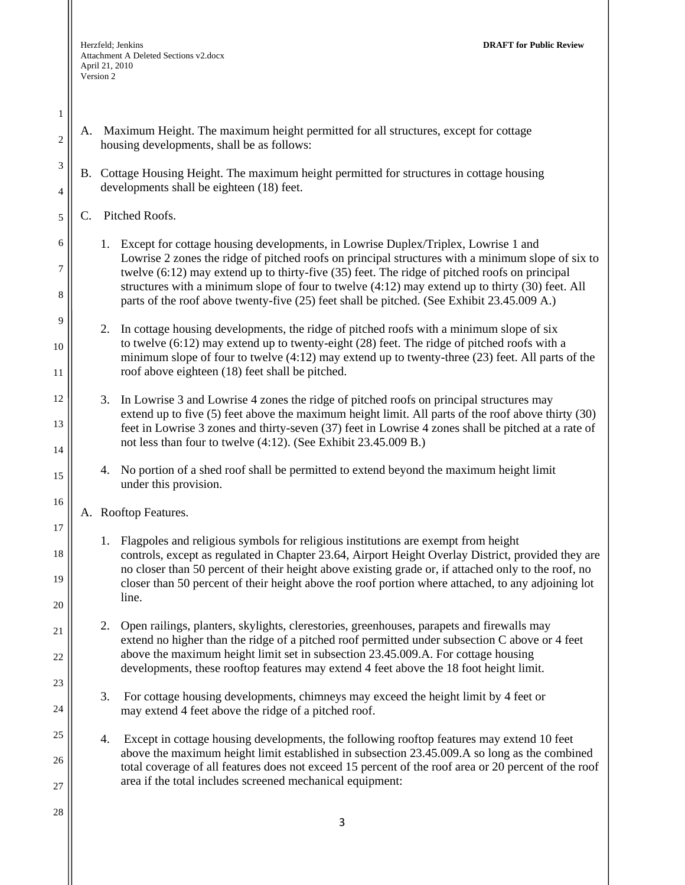- A. Maximum Height. The maximum height permitted for all structures, except for cottage housing developments, shall be as follows:
- B. Cottage Housing Height. The maximum height permitted for structures in cottage housing developments shall be eighteen (18) feet.
- C. Pitched Roofs.

1

2

3

4

5

6

7

8

9

10

11

12

13

14

15

16

17

18

19

20

21

22

23

24

25

26

- 1. Except for cottage housing developments, in Lowrise Duplex/Triplex, Lowrise 1 and Lowrise 2 zones the ridge of pitched roofs on principal structures with a minimum slope of six to twelve (6:12) may extend up to thirty-five (35) feet. The ridge of pitched roofs on principal structures with a minimum slope of four to twelve (4:12) may extend up to thirty (30) feet. All parts of the roof above twenty-five (25) feet shall be pitched. (See Exhibit 23.45.009 A.)
- 2. In cottage housing developments, the ridge of pitched roofs with a minimum slope of six to twelve (6:12) may extend up to twenty-eight (28) feet. The ridge of pitched roofs with a minimum slope of four to twelve (4:12) may extend up to twenty-three (23) feet. All parts of the roof above eighteen (18) feet shall be pitched.
- 3. In Lowrise 3 and Lowrise 4 zones the ridge of pitched roofs on principal structures may extend up to five (5) feet above the maximum height limit. All parts of the roof above thirty (30) feet in Lowrise 3 zones and thirty-seven (37) feet in Lowrise 4 zones shall be pitched at a rate of not less than four to twelve (4:12). (See Exhibit 23.45.009 B.)
	- 4. No portion of a shed roof shall be permitted to extend beyond the maximum height limit under this provision.
- A. Rooftop Features.
	- 1. Flagpoles and religious symbols for religious institutions are exempt from height controls, except as regulated in Chapter 23.64, Airport Height Overlay District, provided they are no closer than 50 percent of their height above existing grade or, if attached only to the roof, no closer than 50 percent of their height above the roof portion where attached, to any adjoining lot line.
	- 2. Open railings, planters, skylights, clerestories, greenhouses, parapets and firewalls may extend no higher than the ridge of a pitched roof permitted under subsection C above or 4 feet above the maximum height limit set in subsection 23.45.009.A. For cottage housing developments, these rooftop features may extend 4 feet above the 18 foot height limit.
		- 3. For cottage housing developments, chimneys may exceed the height limit by 4 feet or may extend 4 feet above the ridge of a pitched roof.
	- 4. Except in cottage housing developments, the following rooftop features may extend 10 feet above the maximum height limit established in subsection 23.45.009.A so long as the combined total coverage of all features does not exceed 15 percent of the roof area or 20 percent of the roof area if the total includes screened mechanical equipment:
- 28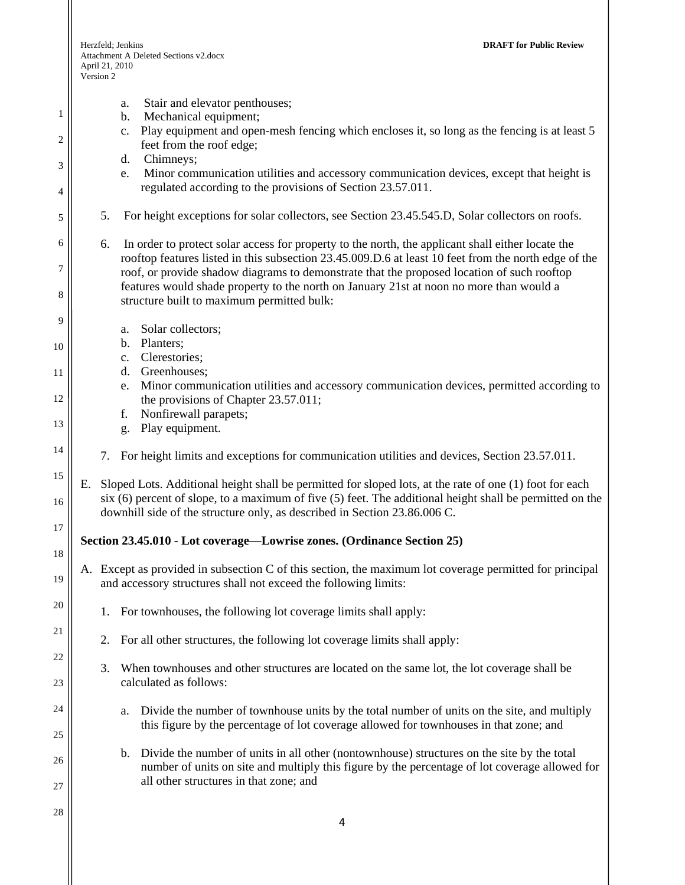1

2

3

4

5

6

7

8

9

10

11

12

13

14

15

16

17

18

19

20

21

22

23

24

25

26

27

28

- a. Stair and elevator penthouses;
- b. Mechanical equipment;
- c. Play equipment and open-mesh fencing which encloses it, so long as the fencing is at least 5 feet from the roof edge;
- d. Chimneys;
- e. Minor communication utilities and accessory communication devices, except that height is regulated according to the provisions of Section 23.57.011.
- 5. For height exceptions for solar collectors, see Section 23.45.545.D, Solar collectors on roofs.
- 6. In order to protect solar access for property to the north, the applicant shall either locate the rooftop features listed in this subsection 23.45.009.D.6 at least 10 feet from the north edge of the roof, or provide shadow diagrams to demonstrate that the proposed location of such rooftop features would shade property to the north on January 21st at noon no more than would a structure built to maximum permitted bulk:
	- a. Solar collectors;
		- b. Planters;
	- c. Clerestories;
	- d. Greenhouses;
	- e. Minor communication utilities and accessory communication devices, permitted according to the provisions of Chapter 23.57.011;
	- f. Nonfirewall parapets;
	- g. Play equipment.
	- 7. For height limits and exceptions for communication utilities and devices, Section 23.57.011.
- E. Sloped Lots. Additional height shall be permitted for sloped lots, at the rate of one (1) foot for each six (6) percent of slope, to a maximum of five (5) feet. The additional height shall be permitted on the downhill side of the structure only, as described in Section 23.86.006 C.

#### **Section 23.45.010 - Lot coverage—Lowrise zones. (Ordinance Section 25)**

- A. Except as provided in subsection C of this section, the maximum lot coverage permitted for principal and accessory structures shall not exceed the following limits:
	- 1. For townhouses, the following lot coverage limits shall apply:
	- 2. For all other structures, the following lot coverage limits shall apply:
	- 3. When townhouses and other structures are located on the same lot, the lot coverage shall be calculated as follows:
		- a. Divide the number of townhouse units by the total number of units on the site, and multiply this figure by the percentage of lot coverage allowed for townhouses in that zone; and
		- b. Divide the number of units in all other (nontownhouse) structures on the site by the total number of units on site and multiply this figure by the percentage of lot coverage allowed for all other structures in that zone; and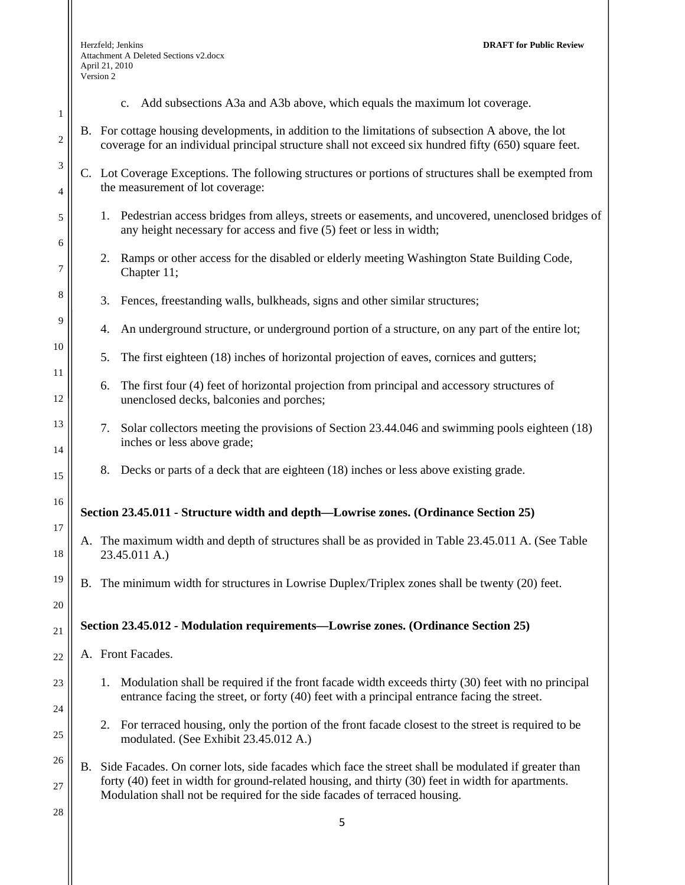1

2

3

4

5

6

7

8

9

10

11

12

13

14

15

16

17

18

19

20

21

22

23

24

25

26

27

- c. Add subsections A3a and A3b above, which equals the maximum lot coverage.
- B. For cottage housing developments, in addition to the limitations of subsection A above, the lot coverage for an individual principal structure shall not exceed six hundred fifty (650) square feet.
- C. Lot Coverage Exceptions. The following structures or portions of structures shall be exempted from the measurement of lot coverage:
	- 1. Pedestrian access bridges from alleys, streets or easements, and uncovered, unenclosed bridges of any height necessary for access and five (5) feet or less in width;
	- 2. Ramps or other access for the disabled or elderly meeting Washington State Building Code, Chapter 11;
	- 3. Fences, freestanding walls, bulkheads, signs and other similar structures;
	- 4. An underground structure, or underground portion of a structure, on any part of the entire lot;
	- 5. The first eighteen (18) inches of horizontal projection of eaves, cornices and gutters;
	- 6. The first four (4) feet of horizontal projection from principal and accessory structures of unenclosed decks, balconies and porches;
	- 7. Solar collectors meeting the provisions of Section 23.44.046 and swimming pools eighteen (18) inches or less above grade;
	- 8. Decks or parts of a deck that are eighteen (18) inches or less above existing grade.

## **Section 23.45.011 - Structure width and depth—Lowrise zones. (Ordinance Section 25)**

- A. The maximum width and depth of structures shall be as provided in Table 23.45.011 A. (See Table 23.45.011 A.)
- B. The minimum width for structures in Lowrise Duplex/Triplex zones shall be twenty (20) feet.

## **Section 23.45.012 - Modulation requirements—Lowrise zones. (Ordinance Section 25)**

- A. Front Facades.
	- 1. Modulation shall be required if the front facade width exceeds thirty (30) feet with no principal entrance facing the street, or forty (40) feet with a principal entrance facing the street.
	- 2. For terraced housing, only the portion of the front facade closest to the street is required to be modulated. (See Exhibit 23.45.012 A.)
- B. Side Facades. On corner lots, side facades which face the street shall be modulated if greater than forty (40) feet in width for ground-related housing, and thirty (30) feet in width for apartments. Modulation shall not be required for the side facades of terraced housing.
- 28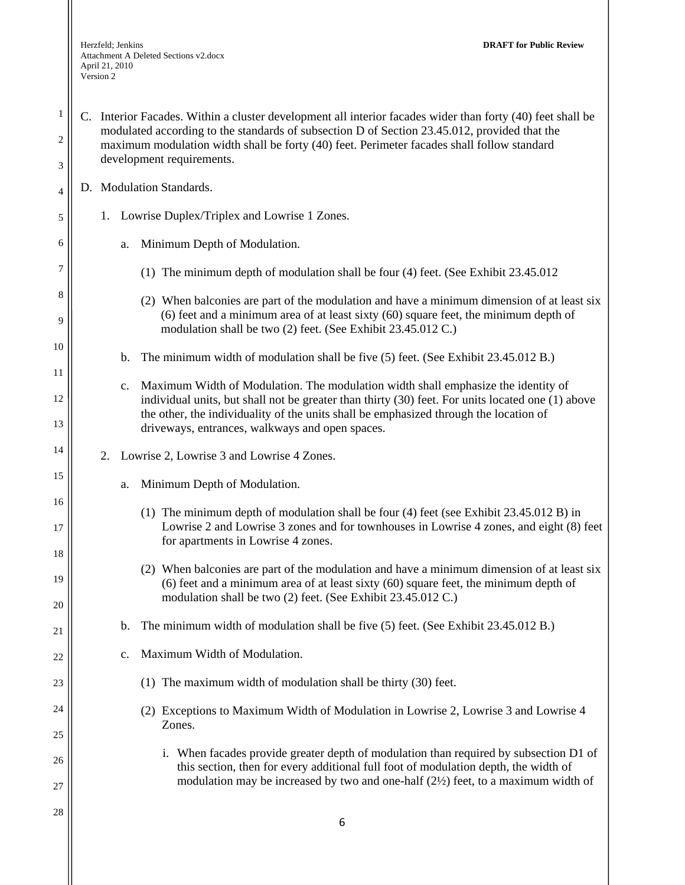|                                       | <sup>1</sup>   C. Interior Facades. Within a cluster development all interior facades wider than forty (40) feet shall be                                                                  |
|---------------------------------------|--------------------------------------------------------------------------------------------------------------------------------------------------------------------------------------------|
| $\begin{array}{c} 2 \\ 3 \end{array}$ | modulated according to the standards of subsection D of Section 23.45.012, provided that the<br>maximum modulation width shall be forty (40) feet. Perimeter facades shall follow standard |
|                                       | development requirements.                                                                                                                                                                  |

D. Modulation Standards.

4

5

6

7

8

9

10

11

12

13

14

15

16

17

18

19

20

21

22

23

24

25

26

27

- 1. Lowrise Duplex/Triplex and Lowrise 1 Zones.
	- a. Minimum Depth of Modulation.
		- (1) The minimum depth of modulation shall be four (4) feet. (See Exhibit 23.45.012
		- (2) When balconies are part of the modulation and have a minimum dimension of at least six (6) feet and a minimum area of at least sixty (60) square feet, the minimum depth of modulation shall be two (2) feet. (See Exhibit 23.45.012 C.)
	- b. The minimum width of modulation shall be five (5) feet. (See Exhibit 23.45.012 B.)
	- c. Maximum Width of Modulation. The modulation width shall emphasize the identity of individual units, but shall not be greater than thirty (30) feet. For units located one (1) above the other, the individuality of the units shall be emphasized through the location of driveways, entrances, walkways and open spaces.
- 2. Lowrise 2, Lowrise 3 and Lowrise 4 Zones.
	- a. Minimum Depth of Modulation.
		- (1) The minimum depth of modulation shall be four (4) feet (see Exhibit 23.45.012 B) in Lowrise 2 and Lowrise 3 zones and for townhouses in Lowrise 4 zones, and eight (8) feet for apartments in Lowrise 4 zones.
		- (2) When balconies are part of the modulation and have a minimum dimension of at least six (6) feet and a minimum area of at least sixty (60) square feet, the minimum depth of modulation shall be two (2) feet. (See Exhibit 23.45.012 C.)
	- b. The minimum width of modulation shall be five (5) feet. (See Exhibit 23.45.012 B.)
	- c. Maximum Width of Modulation.
		- (1) The maximum width of modulation shall be thirty (30) feet.
		- (2) Exceptions to Maximum Width of Modulation in Lowrise 2, Lowrise 3 and Lowrise 4 Zones.
			- i. When facades provide greater depth of modulation than required by subsection D1 of this section, then for every additional full foot of modulation depth, the width of modulation may be increased by two and one-half  $(2\frac{1}{2})$  feet, to a maximum width of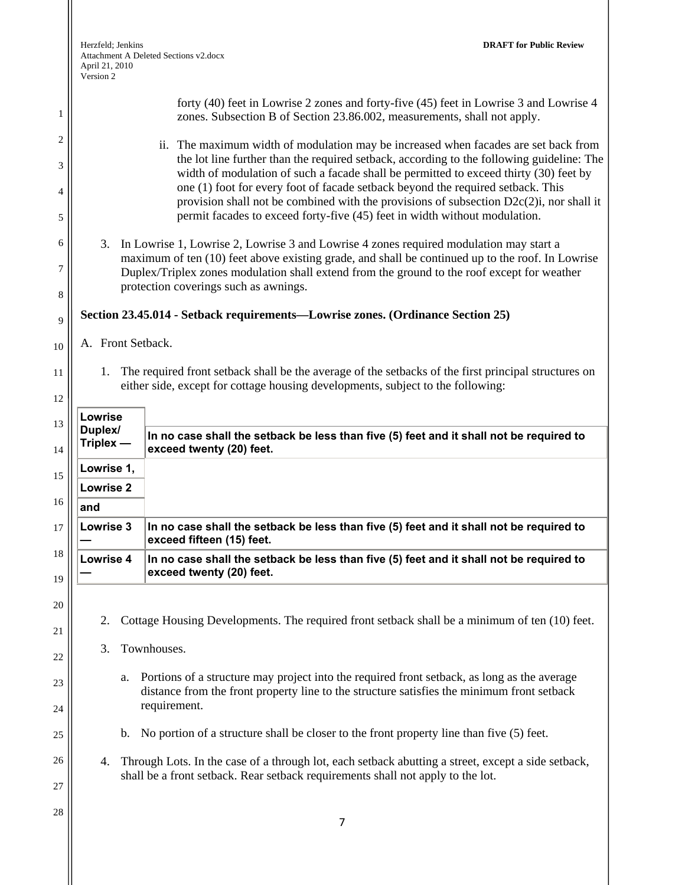|                                                              | Herzfeld; Jenkins<br>April 21, 2010<br>Version 2   | <b>DRAFT for Public Review</b><br>Attachment A Deleted Sections v2.docx                                                                                                                                                                                                                                                                                                                                                                                                                                                                                                                                                                                                                                                                                                                                                                                                                                                                                                                                                                                                                                                                   |
|--------------------------------------------------------------|----------------------------------------------------|-------------------------------------------------------------------------------------------------------------------------------------------------------------------------------------------------------------------------------------------------------------------------------------------------------------------------------------------------------------------------------------------------------------------------------------------------------------------------------------------------------------------------------------------------------------------------------------------------------------------------------------------------------------------------------------------------------------------------------------------------------------------------------------------------------------------------------------------------------------------------------------------------------------------------------------------------------------------------------------------------------------------------------------------------------------------------------------------------------------------------------------------|
| 1<br>$\overline{2}$<br>3<br>4<br>5<br>6<br>7<br>8<br>9<br>10 | A. Front Setback.                                  | forty (40) feet in Lowrise 2 zones and forty-five (45) feet in Lowrise 3 and Lowrise 4<br>zones. Subsection B of Section 23.86.002, measurements, shall not apply.<br>ii. The maximum width of modulation may be increased when facades are set back from<br>the lot line further than the required setback, according to the following guideline: The<br>width of modulation of such a facade shall be permitted to exceed thirty (30) feet by<br>one (1) foot for every foot of facade setback beyond the required setback. This<br>provision shall not be combined with the provisions of subsection $D2c(2)$ i, nor shall it<br>permit facades to exceed forty-five (45) feet in width without modulation.<br>3. In Lowrise 1, Lowrise 2, Lowrise 3 and Lowrise 4 zones required modulation may start a<br>maximum of ten (10) feet above existing grade, and shall be continued up to the roof. In Lowrise<br>Duplex/Triplex zones modulation shall extend from the ground to the roof except for weather<br>protection coverings such as awnings.<br>Section 23.45.014 - Setback requirements—Lowrise zones. (Ordinance Section 25) |
| 11<br>12                                                     | 1.<br>Lowrise                                      | The required front setback shall be the average of the setbacks of the first principal structures on<br>either side, except for cottage housing developments, subject to the following:                                                                                                                                                                                                                                                                                                                                                                                                                                                                                                                                                                                                                                                                                                                                                                                                                                                                                                                                                   |
| 13<br>14                                                     | Duplex/<br>Triplex -                               | In no case shall the setback be less than five (5) feet and it shall not be required to<br>exceed twenty (20) feet.                                                                                                                                                                                                                                                                                                                                                                                                                                                                                                                                                                                                                                                                                                                                                                                                                                                                                                                                                                                                                       |
| 15<br>16<br>17                                               | Lowrise 1,<br><b>Lowrise 2</b><br>and<br>Lowrise 3 | In no case shall the setback be less than five (5) feet and it shall not be required to                                                                                                                                                                                                                                                                                                                                                                                                                                                                                                                                                                                                                                                                                                                                                                                                                                                                                                                                                                                                                                                   |
| 18                                                           | <b>Lowrise 4</b>                                   | exceed fifteen (15) feet.<br>In no case shall the setback be less than five (5) feet and it shall not be required to<br>exceed twenty (20) feet.                                                                                                                                                                                                                                                                                                                                                                                                                                                                                                                                                                                                                                                                                                                                                                                                                                                                                                                                                                                          |
| 19<br>20<br>21<br>22<br>23<br>24<br>25<br>26<br>27<br>28     | 2.<br>3.<br>a.<br>b.<br>4.                         | Cottage Housing Developments. The required front setback shall be a minimum of ten (10) feet.<br>Townhouses.<br>Portions of a structure may project into the required front setback, as long as the average<br>distance from the front property line to the structure satisfies the minimum front setback<br>requirement.<br>No portion of a structure shall be closer to the front property line than five (5) feet.<br>Through Lots. In the case of a through lot, each setback abutting a street, except a side setback,<br>shall be a front setback. Rear setback requirements shall not apply to the lot.<br>7                                                                                                                                                                                                                                                                                                                                                                                                                                                                                                                       |
|                                                              |                                                    |                                                                                                                                                                                                                                                                                                                                                                                                                                                                                                                                                                                                                                                                                                                                                                                                                                                                                                                                                                                                                                                                                                                                           |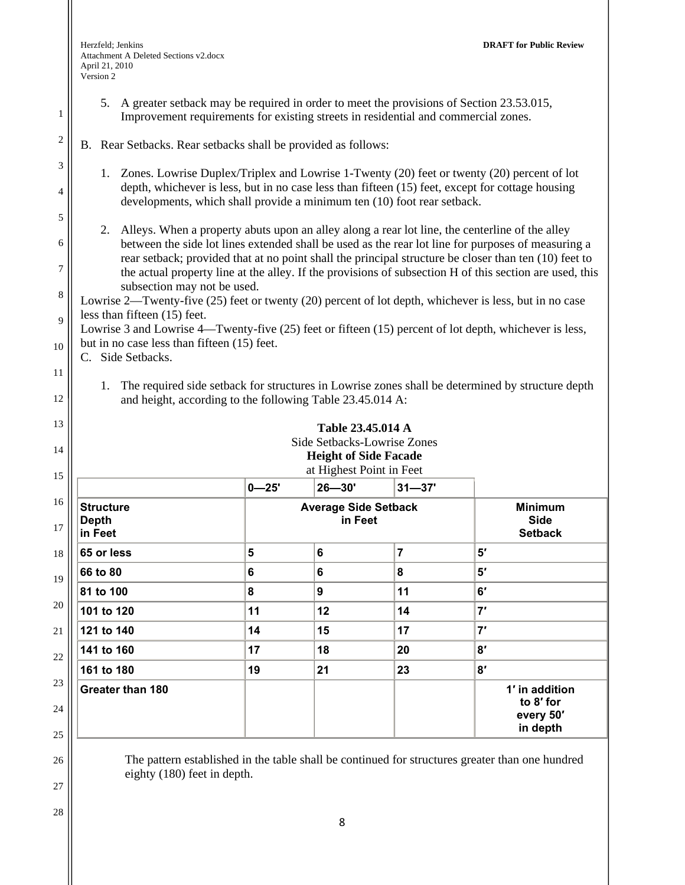1

2

3

4

5

6

7

8

9

10

11

12

13

14

15

16

17

18

19

20

21

22

23

24

25

26

27

5. A greater setback may be required in order to meet the provisions of Section 23.53.015, Improvement requirements for existing streets in residential and commercial zones.

# B. Rear Setbacks. Rear setbacks shall be provided as follows:

- 1. Zones. Lowrise Duplex/Triplex and Lowrise 1-Twenty (20) feet or twenty (20) percent of lot depth, whichever is less, but in no case less than fifteen (15) feet, except for cottage housing developments, which shall provide a minimum ten (10) foot rear setback.
- 2. Alleys. When a property abuts upon an alley along a rear lot line, the centerline of the alley between the side lot lines extended shall be used as the rear lot line for purposes of measuring a rear setback; provided that at no point shall the principal structure be closer than ten (10) feet to the actual property line at the alley. If the provisions of subsection H of this section are used, this subsection may not be used.

Lowrise 2—Twenty-five (25) feet or twenty (20) percent of lot depth, whichever is less, but in no case less than fifteen (15) feet.

Lowrise 3 and Lowrise 4—Twenty-five (25) feet or fifteen (15) percent of lot depth, whichever is less, but in no case less than fifteen (15) feet.

C. Side Setbacks.

1. The required side setback for structures in Lowrise zones shall be determined by structure depth and height, according to the following Table 23.45.014 A:

|                                             |                                        | Side Setbacks-Lowrise Zones<br><b>Height of Side Facade</b><br>at Highest Point in Feet |                |                                                      |
|---------------------------------------------|----------------------------------------|-----------------------------------------------------------------------------------------|----------------|------------------------------------------------------|
|                                             | $0 - 25'$                              | $26 - 30'$                                                                              | $31 - 37'$     |                                                      |
| <b>Structure</b><br><b>Depth</b><br>in Feet | <b>Average Side Setback</b><br>in Feet |                                                                                         |                | <b>Minimum</b><br><b>Side</b><br><b>Setback</b>      |
| 65 or less                                  | 5                                      | 6                                                                                       | $\overline{7}$ | 5'                                                   |
| 66 to 80                                    | 6                                      | 6                                                                                       | 8              | 5'                                                   |
| 81 to 100                                   | 8                                      | 9                                                                                       | 11             | 6'                                                   |
| 101 to 120                                  | 11                                     | 12                                                                                      | 14             | 7'                                                   |
| 121 to 140                                  | 14                                     | 15                                                                                      | 17             | 7'                                                   |
| 141 to 160                                  | 17                                     | 18                                                                                      | 20             | 8'                                                   |
| 161 to 180                                  | 19                                     | 21                                                                                      | 23             | 8'                                                   |
| Greater than 180                            |                                        |                                                                                         |                | 1' in addition<br>to 8' for<br>every 50'<br>in depth |

The pattern established in the table shall be continued for structures greater than one hundred eighty (180) feet in depth.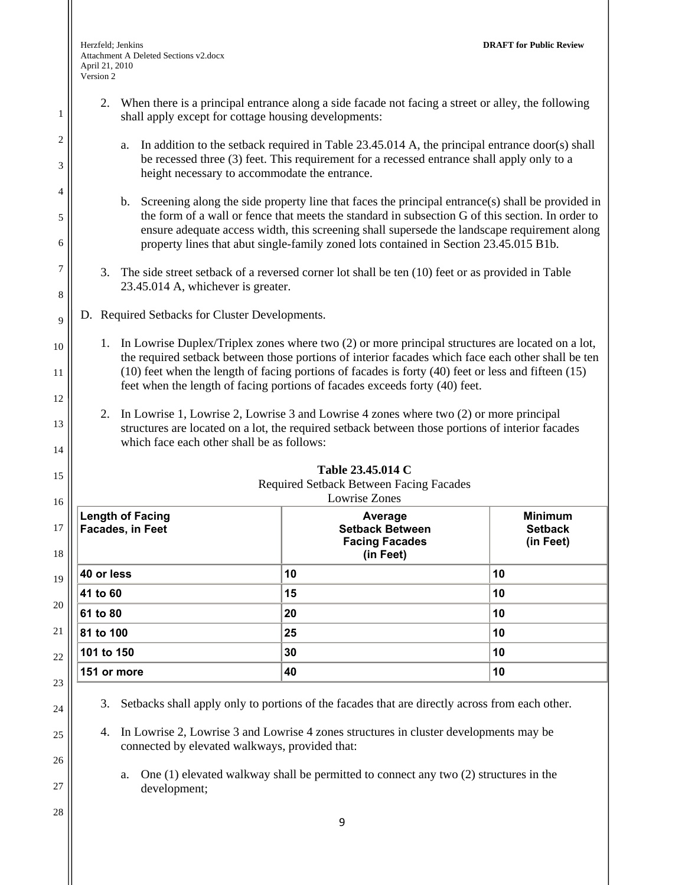1

2

3

4

5

6

7

8

9

10

11

12

13

14

15

- 2. When there is a principal entrance along a side facade not facing a street or alley, the following shall apply except for cottage housing developments:
	- a. In addition to the setback required in Table 23.45.014 A, the principal entrance door(s) shall be recessed three (3) feet. This requirement for a recessed entrance shall apply only to a height necessary to accommodate the entrance.
	- b. Screening along the side property line that faces the principal entrance(s) shall be provided in the form of a wall or fence that meets the standard in subsection G of this section. In order to ensure adequate access width, this screening shall supersede the landscape requirement along property lines that abut single-family zoned lots contained in Section 23.45.015 B1b.
- 3. The side street setback of a reversed corner lot shall be ten (10) feet or as provided in Table 23.45.014 A, whichever is greater.
- D. Required Setbacks for Cluster Developments.
	- 1. In Lowrise Duplex/Triplex zones where two (2) or more principal structures are located on a lot, the required setback between those portions of interior facades which face each other shall be ten (10) feet when the length of facing portions of facades is forty (40) feet or less and fifteen (15) feet when the length of facing portions of facades exceeds forty (40) feet.
	- 2. In Lowrise 1, Lowrise 2, Lowrise 3 and Lowrise 4 zones where two (2) or more principal structures are located on a lot, the required setback between those portions of interior facades which face each other shall be as follows:

| Lowrise Zones                                      |                                                                         |                                               |  |
|----------------------------------------------------|-------------------------------------------------------------------------|-----------------------------------------------|--|
| <b>Length of Facing</b><br><b>Facades, in Feet</b> | Average<br><b>Setback Between</b><br><b>Facing Facades</b><br>(in Feet) | <b>Minimum</b><br><b>Setback</b><br>(in Feet) |  |
| 40 or less                                         | 10                                                                      | 10                                            |  |
| 41 to 60                                           | 15                                                                      | 10                                            |  |
| 61 to 80                                           | 20                                                                      | 10                                            |  |
| 81 to 100                                          | 25                                                                      | 10                                            |  |
| 101 to 150                                         | 30                                                                      | 10                                            |  |
| 151 or more                                        | 40                                                                      | 10                                            |  |

**Table 23.45.014 C** 

- 3. Setbacks shall apply only to portions of the facades that are directly across from each other.
- 4. In Lowrise 2, Lowrise 3 and Lowrise 4 zones structures in cluster developments may be connected by elevated walkways, provided that:
	- a. One (1) elevated walkway shall be permitted to connect any two (2) structures in the development;

28

24

25

26

27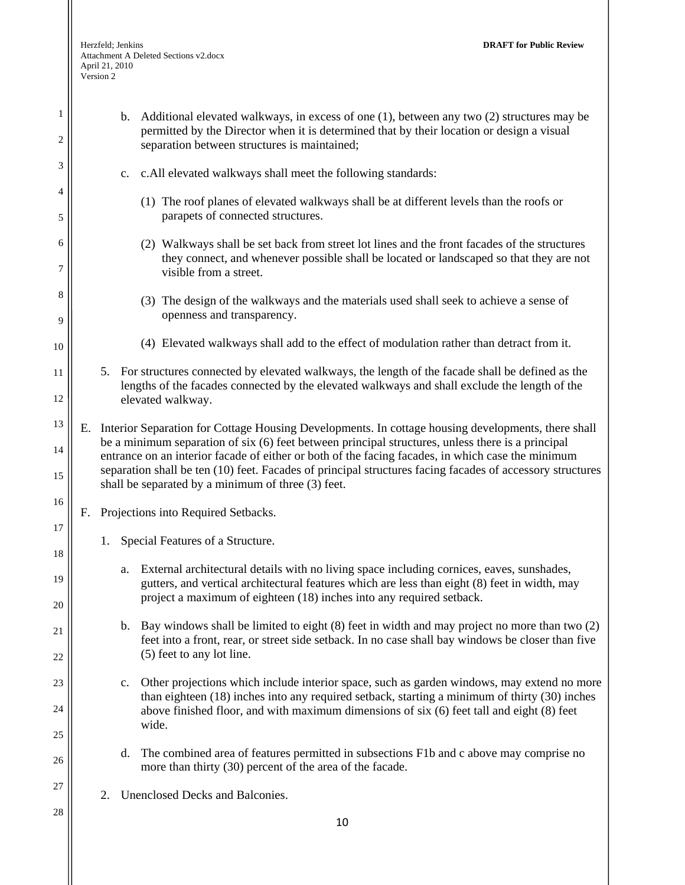Herzfeld; Jenkins **DRAFT for Public Review**  Attachment A Deleted Sections v2.docx April 21, 2010 Version 2

| 1<br>2   | b. Additional elevated walkways, in excess of one (1), between any two (2) structures may be<br>permitted by the Director when it is determined that by their location or design a visual                                                                                                                          |
|----------|--------------------------------------------------------------------------------------------------------------------------------------------------------------------------------------------------------------------------------------------------------------------------------------------------------------------|
|          | separation between structures is maintained;                                                                                                                                                                                                                                                                       |
| 3        | c. All elevated walkways shall meet the following standards:<br>c.                                                                                                                                                                                                                                                 |
| 4<br>5   | (1) The roof planes of elevated walkways shall be at different levels than the roofs or<br>parapets of connected structures.                                                                                                                                                                                       |
| 6<br>7   | (2) Walkways shall be set back from street lot lines and the front facades of the structures<br>they connect, and whenever possible shall be located or landscaped so that they are not                                                                                                                            |
|          | visible from a street.                                                                                                                                                                                                                                                                                             |
| 8<br>9   | (3) The design of the walkways and the materials used shall seek to achieve a sense of<br>openness and transparency.                                                                                                                                                                                               |
| 10       | (4) Elevated walkways shall add to the effect of modulation rather than detract from it.                                                                                                                                                                                                                           |
| 11<br>12 | 5. For structures connected by elevated walkways, the length of the facade shall be defined as the<br>lengths of the facades connected by the elevated walkways and shall exclude the length of the<br>elevated walkway.                                                                                           |
| 13       |                                                                                                                                                                                                                                                                                                                    |
| 14       | Interior Separation for Cottage Housing Developments. In cottage housing developments, there shall<br>Е.<br>be a minimum separation of six (6) feet between principal structures, unless there is a principal<br>entrance on an interior facade of either or both of the facing facades, in which case the minimum |
| 15       | separation shall be ten (10) feet. Facades of principal structures facing facades of accessory structures<br>shall be separated by a minimum of three (3) feet.                                                                                                                                                    |
| 16       | Projections into Required Setbacks.<br>F.                                                                                                                                                                                                                                                                          |
| 17<br>18 | Special Features of a Structure.<br>1.                                                                                                                                                                                                                                                                             |
| 19       | External architectural details with no living space including cornices, eaves, sunshades,<br>a.<br>gutters, and vertical architectural features which are less than eight (8) feet in width, may                                                                                                                   |
| 20       | project a maximum of eighteen (18) inches into any required setback.                                                                                                                                                                                                                                               |
| 21       | Bay windows shall be limited to eight (8) feet in width and may project no more than two (2)<br>b.<br>feet into a front, rear, or street side setback. In no case shall bay windows be closer than five<br>(5) feet to any lot line.                                                                               |
| 22       |                                                                                                                                                                                                                                                                                                                    |
| 23       | Other projections which include interior space, such as garden windows, may extend no more<br>$\mathbf{c}$ .<br>than eighteen (18) inches into any required setback, starting a minimum of thirty (30) inches                                                                                                      |
| 24<br>25 | above finished floor, and with maximum dimensions of six (6) feet tall and eight (8) feet<br>wide.                                                                                                                                                                                                                 |
| 26       | The combined area of features permitted in subsections F1b and c above may comprise no<br>d.<br>more than thirty (30) percent of the area of the facade.                                                                                                                                                           |
| 27       | Unenclosed Decks and Balconies.<br>2.                                                                                                                                                                                                                                                                              |
| 28       | 10                                                                                                                                                                                                                                                                                                                 |
|          |                                                                                                                                                                                                                                                                                                                    |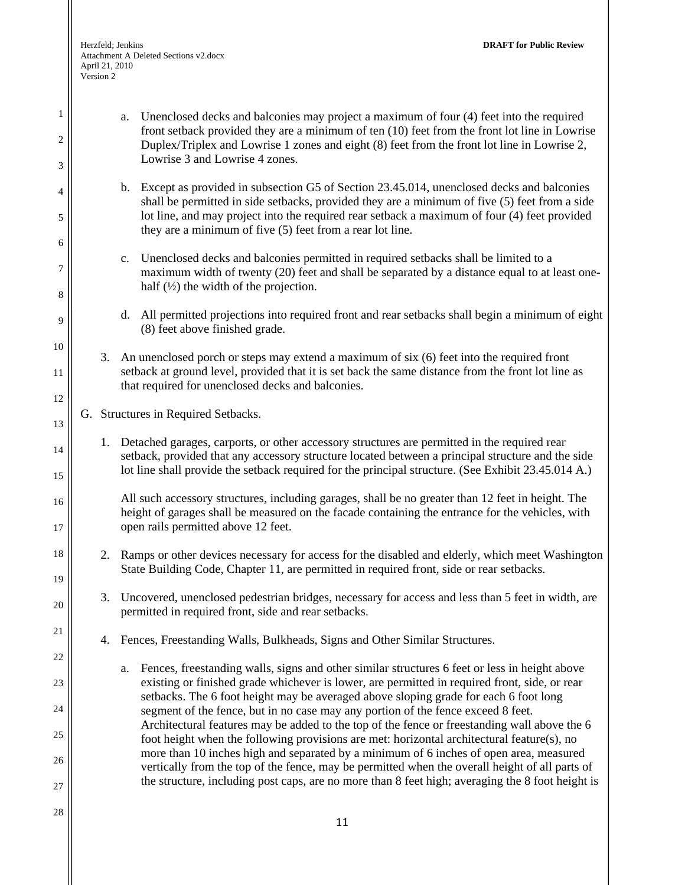1

2

3

4

5

6

7

8

9

10

11

12

13

14

15

16

17

18

19

20

21

22

23

24

25

26

27

front setback provided they are a minimum of ten (10) feet from the front lot line in Lowrise Duplex/Triplex and Lowrise 1 zones and eight (8) feet from the front lot line in Lowrise 2, Lowrise 3 and Lowrise 4 zones. b. Except as provided in subsection G5 of Section 23.45.014, unenclosed decks and balconies shall be permitted in side setbacks, provided they are a minimum of five (5) feet from a side lot line, and may project into the required rear setback a maximum of four (4) feet provided they are a minimum of five (5) feet from a rear lot line. c. Unenclosed decks and balconies permitted in required setbacks shall be limited to a maximum width of twenty (20) feet and shall be separated by a distance equal to at least onehalf  $\left(\frac{1}{2}\right)$  the width of the projection. d. All permitted projections into required front and rear setbacks shall begin a minimum of eight (8) feet above finished grade. 3. An unenclosed porch or steps may extend a maximum of six (6) feet into the required front setback at ground level, provided that it is set back the same distance from the front lot line as that required for unenclosed decks and balconies. G. Structures in Required Setbacks. 1. Detached garages, carports, or other accessory structures are permitted in the required rear setback, provided that any accessory structure located between a principal structure and the side lot line shall provide the setback required for the principal structure. (See Exhibit 23.45.014 A.) All such accessory structures, including garages, shall be no greater than 12 feet in height. The height of garages shall be measured on the facade containing the entrance for the vehicles, with open rails permitted above 12 feet. 2. Ramps or other devices necessary for access for the disabled and elderly, which meet Washington State Building Code, Chapter 11, are permitted in required front, side or rear setbacks. 3. Uncovered, unenclosed pedestrian bridges, necessary for access and less than 5 feet in width, are permitted in required front, side and rear setbacks. 4. Fences, Freestanding Walls, Bulkheads, Signs and Other Similar Structures. a. Fences, freestanding walls, signs and other similar structures 6 feet or less in height above

a. Unenclosed decks and balconies may project a maximum of four (4) feet into the required

- existing or finished grade whichever is lower, are permitted in required front, side, or rear setbacks. The 6 foot height may be averaged above sloping grade for each 6 foot long segment of the fence, but in no case may any portion of the fence exceed 8 feet. Architectural features may be added to the top of the fence or freestanding wall above the 6 foot height when the following provisions are met: horizontal architectural feature(s), no more than 10 inches high and separated by a minimum of 6 inches of open area, measured vertically from the top of the fence, may be permitted when the overall height of all parts of the structure, including post caps, are no more than 8 feet high; averaging the 8 foot height is
- 28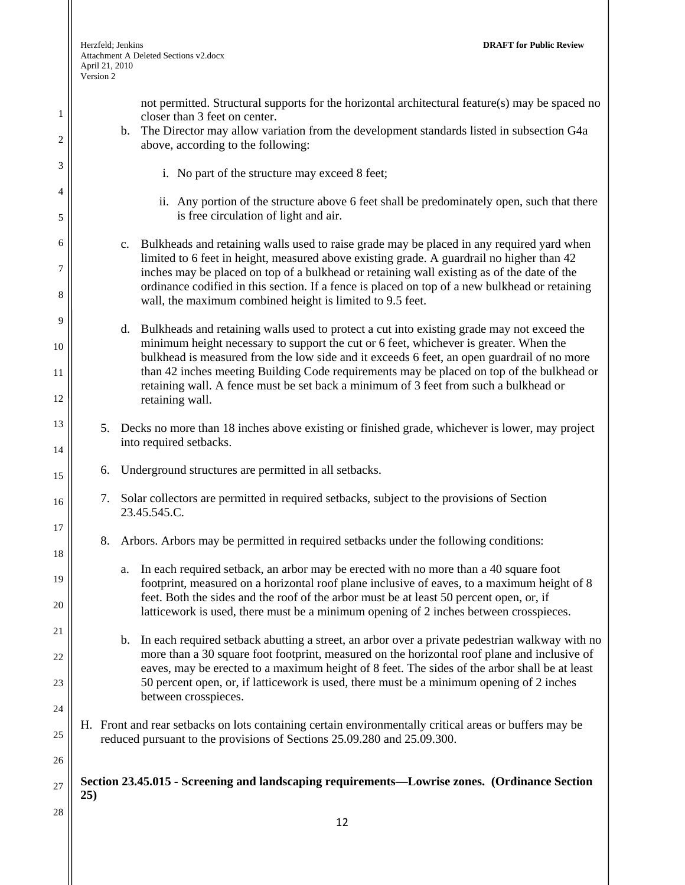II

| 1                           | not permitted. Structural supports for the horizontal architectural feature(s) may be spaced no<br>closer than 3 feet on center.<br>The Director may allow variation from the development standards listed in subsection G4a<br>$\mathbf{b}$ .                                                                                                                                                                                                                                                  |
|-----------------------------|-------------------------------------------------------------------------------------------------------------------------------------------------------------------------------------------------------------------------------------------------------------------------------------------------------------------------------------------------------------------------------------------------------------------------------------------------------------------------------------------------|
| $\overline{c}$              | above, according to the following:                                                                                                                                                                                                                                                                                                                                                                                                                                                              |
| $\ensuremath{\mathfrak{Z}}$ | i. No part of the structure may exceed 8 feet;                                                                                                                                                                                                                                                                                                                                                                                                                                                  |
| 4<br>5                      | ii. Any portion of the structure above 6 feet shall be predominately open, such that there<br>is free circulation of light and air.                                                                                                                                                                                                                                                                                                                                                             |
| 6<br>7<br>8                 | c. Bulkheads and retaining walls used to raise grade may be placed in any required yard when<br>limited to 6 feet in height, measured above existing grade. A guardrail no higher than 42<br>inches may be placed on top of a bulkhead or retaining wall existing as of the date of the<br>ordinance codified in this section. If a fence is placed on top of a new bulkhead or retaining<br>wall, the maximum combined height is limited to 9.5 feet.                                          |
| 9<br>10<br>11<br>12         | Bulkheads and retaining walls used to protect a cut into existing grade may not exceed the<br>d.<br>minimum height necessary to support the cut or 6 feet, whichever is greater. When the<br>bulkhead is measured from the low side and it exceeds 6 feet, an open guardrail of no more<br>than 42 inches meeting Building Code requirements may be placed on top of the bulkhead or<br>retaining wall. A fence must be set back a minimum of 3 feet from such a bulkhead or<br>retaining wall. |
| 13<br>14                    | 5. Decks no more than 18 inches above existing or finished grade, whichever is lower, may project<br>into required setbacks.                                                                                                                                                                                                                                                                                                                                                                    |
| 15                          | Underground structures are permitted in all setbacks.<br>6.                                                                                                                                                                                                                                                                                                                                                                                                                                     |
| 16                          | 7. Solar collectors are permitted in required setbacks, subject to the provisions of Section<br>23.45.545.C.                                                                                                                                                                                                                                                                                                                                                                                    |
| 17<br>18                    | 8. Arbors. Arbors may be permitted in required setbacks under the following conditions:                                                                                                                                                                                                                                                                                                                                                                                                         |
| 19<br>20                    | In each required setback, an arbor may be erected with no more than a 40 square foot<br>a.<br>footprint, measured on a horizontal roof plane inclusive of eaves, to a maximum height of 8<br>feet. Both the sides and the roof of the arbor must be at least 50 percent open, or, if<br>latticework is used, there must be a minimum opening of 2 inches between crosspieces.                                                                                                                   |
| 21<br>22                    | In each required setback abutting a street, an arbor over a private pedestrian walkway with no<br>b.<br>more than a 30 square foot footprint, measured on the horizontal roof plane and inclusive of                                                                                                                                                                                                                                                                                            |
| 23                          | eaves, may be erected to a maximum height of 8 feet. The sides of the arbor shall be at least<br>50 percent open, or, if latticework is used, there must be a minimum opening of 2 inches<br>between crosspieces.                                                                                                                                                                                                                                                                               |
| 24<br>25                    | H. Front and rear setbacks on lots containing certain environmentally critical areas or buffers may be<br>reduced pursuant to the provisions of Sections 25.09.280 and 25.09.300.                                                                                                                                                                                                                                                                                                               |
| 26                          |                                                                                                                                                                                                                                                                                                                                                                                                                                                                                                 |
| 27                          | Section 23.45.015 - Screening and landscaping requirements—Lowrise zones. (Ordinance Section<br>25)                                                                                                                                                                                                                                                                                                                                                                                             |
| 28                          | 12                                                                                                                                                                                                                                                                                                                                                                                                                                                                                              |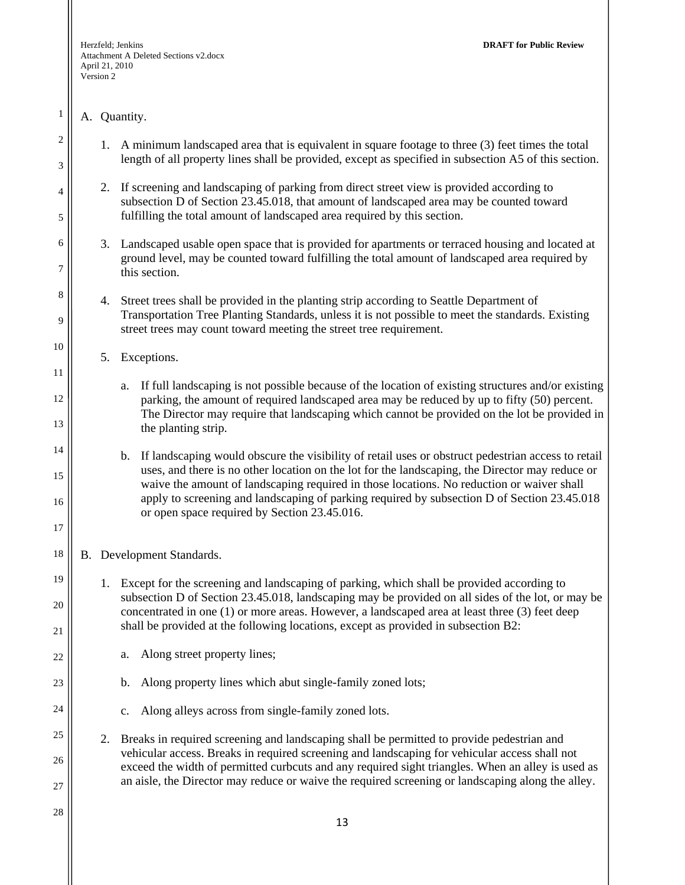# A. Quantity.

1

2

3

4

5

6

7

8

9

10

11

12

13

14

15

16

17

18

19

20

21

22

23

24

25

26

27

- 1. A minimum landscaped area that is equivalent in square footage to three (3) feet times the total length of all property lines shall be provided, except as specified in subsection A5 of this section.
- 2. If screening and landscaping of parking from direct street view is provided according to subsection D of Section 23.45.018, that amount of landscaped area may be counted toward fulfilling the total amount of landscaped area required by this section.
- 3. Landscaped usable open space that is provided for apartments or terraced housing and located at ground level, may be counted toward fulfilling the total amount of landscaped area required by this section.
- 4. Street trees shall be provided in the planting strip according to Seattle Department of Transportation Tree Planting Standards, unless it is not possible to meet the standards. Existing street trees may count toward meeting the street tree requirement.
	- 5. Exceptions.

a. If full landscaping is not possible because of the location of existing structures and/or existing parking, the amount of required landscaped area may be reduced by up to fifty (50) percent. The Director may require that landscaping which cannot be provided on the lot be provided in the planting strip.

b. If landscaping would obscure the visibility of retail uses or obstruct pedestrian access to retail uses, and there is no other location on the lot for the landscaping, the Director may reduce or waive the amount of landscaping required in those locations. No reduction or waiver shall apply to screening and landscaping of parking required by subsection D of Section 23.45.018 or open space required by Section 23.45.016.

B. Development Standards.

- 1. Except for the screening and landscaping of parking, which shall be provided according to subsection D of Section 23.45.018, landscaping may be provided on all sides of the lot, or may be concentrated in one (1) or more areas. However, a landscaped area at least three (3) feet deep shall be provided at the following locations, except as provided in subsection B2:
	- a. Along street property lines;
		- b. Along property lines which abut single-family zoned lots;
		- c. Along alleys across from single-family zoned lots.
- 2. Breaks in required screening and landscaping shall be permitted to provide pedestrian and vehicular access. Breaks in required screening and landscaping for vehicular access shall not exceed the width of permitted curbcuts and any required sight triangles. When an alley is used as an aisle, the Director may reduce or waive the required screening or landscaping along the alley.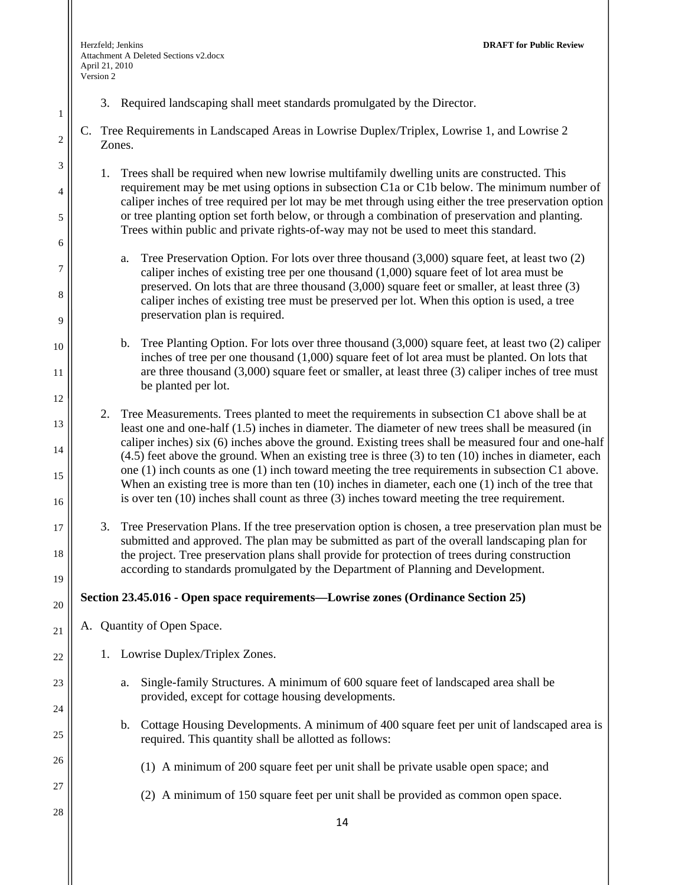1

2

3

4

5

6

7

8

9

10

11

12

13

14

15

16

17

18

19

20

21

22

23

24

25

26

27

28

- 3. Required landscaping shall meet standards promulgated by the Director.
- C. Tree Requirements in Landscaped Areas in Lowrise Duplex/Triplex, Lowrise 1, and Lowrise 2 Zones.
	- 1. Trees shall be required when new lowrise multifamily dwelling units are constructed. This requirement may be met using options in subsection C1a or C1b below. The minimum number of caliper inches of tree required per lot may be met through using either the tree preservation option or tree planting option set forth below, or through a combination of preservation and planting. Trees within public and private rights-of-way may not be used to meet this standard.
		- a. Tree Preservation Option. For lots over three thousand (3,000) square feet, at least two (2) caliper inches of existing tree per one thousand (1,000) square feet of lot area must be preserved. On lots that are three thousand (3,000) square feet or smaller, at least three (3) caliper inches of existing tree must be preserved per lot. When this option is used, a tree preservation plan is required.
		- b. Tree Planting Option. For lots over three thousand (3,000) square feet, at least two (2) caliper inches of tree per one thousand (1,000) square feet of lot area must be planted. On lots that are three thousand (3,000) square feet or smaller, at least three (3) caliper inches of tree must be planted per lot.

2. Tree Measurements. Trees planted to meet the requirements in subsection C1 above shall be at least one and one-half (1.5) inches in diameter. The diameter of new trees shall be measured (in caliper inches) six (6) inches above the ground. Existing trees shall be measured four and one-half  $(4.5)$  feet above the ground. When an existing tree is three  $(3)$  to ten  $(10)$  inches in diameter, each one (1) inch counts as one (1) inch toward meeting the tree requirements in subsection C1 above. When an existing tree is more than ten (10) inches in diameter, each one (1) inch of the tree that is over ten (10) inches shall count as three (3) inches toward meeting the tree requirement.

3. Tree Preservation Plans. If the tree preservation option is chosen, a tree preservation plan must be submitted and approved. The plan may be submitted as part of the overall landscaping plan for the project. Tree preservation plans shall provide for protection of trees during construction according to standards promulgated by the Department of Planning and Development.

## **Section 23.45.016 - Open space requirements—Lowrise zones (Ordinance Section 25)**

- A. Quantity of Open Space.
	- 1. Lowrise Duplex/Triplex Zones.
		- a. Single-family Structures. A minimum of 600 square feet of landscaped area shall be provided, except for cottage housing developments.
		- b. Cottage Housing Developments. A minimum of 400 square feet per unit of landscaped area is required. This quantity shall be allotted as follows:
			- (1) A minimum of 200 square feet per unit shall be private usable open space; and
			- (2) A minimum of 150 square feet per unit shall be provided as common open space.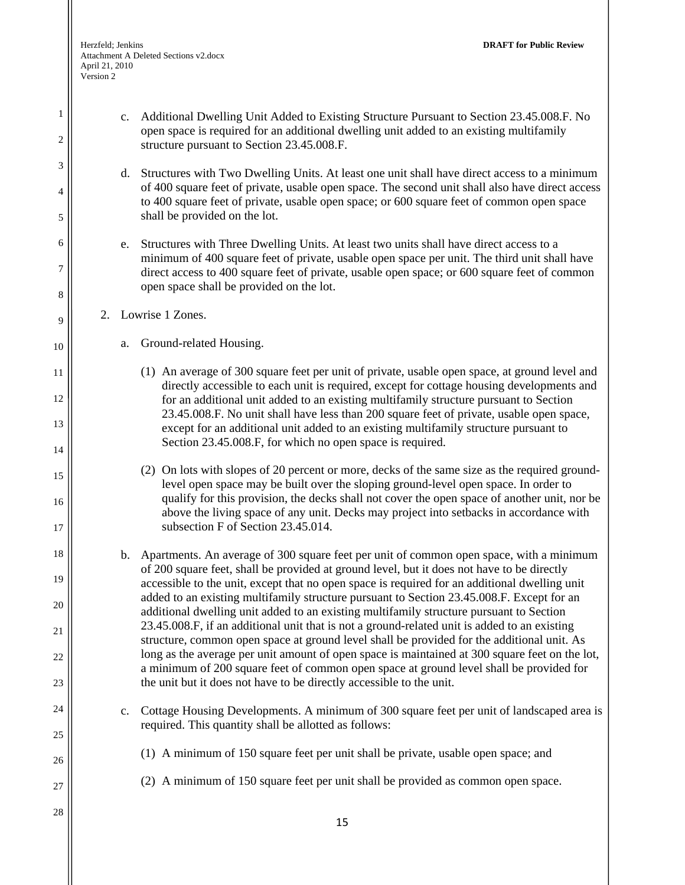1

2

3

4

5

6

7

8

9

10

11

12

13

14

15

16

17

18

19

20

21

22

23

24

25

26

27

- c. Additional Dwelling Unit Added to Existing Structure Pursuant to Section 23.45.008.F. No open space is required for an additional dwelling unit added to an existing multifamily structure pursuant to Section 23.45.008.F. d. Structures with Two Dwelling Units. At least one unit shall have direct access to a minimum of 400 square feet of private, usable open space. The second unit shall also have direct access to 400 square feet of private, usable open space; or 600 square feet of common open space shall be provided on the lot. e. Structures with Three Dwelling Units. At least two units shall have direct access to a minimum of 400 square feet of private, usable open space per unit. The third unit shall have direct access to 400 square feet of private, usable open space; or 600 square feet of common open space shall be provided on the lot.
- 2. Lowrise 1 Zones.
	- a. Ground-related Housing.
		- (1) An average of 300 square feet per unit of private, usable open space, at ground level and directly accessible to each unit is required, except for cottage housing developments and for an additional unit added to an existing multifamily structure pursuant to Section 23.45.008.F. No unit shall have less than 200 square feet of private, usable open space, except for an additional unit added to an existing multifamily structure pursuant to Section 23.45.008.F, for which no open space is required.
		- (2) On lots with slopes of 20 percent or more, decks of the same size as the required groundlevel open space may be built over the sloping ground-level open space. In order to qualify for this provision, the decks shall not cover the open space of another unit, nor be above the living space of any unit. Decks may project into setbacks in accordance with subsection F of Section 23.45.014.
	- b. Apartments. An average of 300 square feet per unit of common open space, with a minimum of 200 square feet, shall be provided at ground level, but it does not have to be directly accessible to the unit, except that no open space is required for an additional dwelling unit added to an existing multifamily structure pursuant to Section 23.45.008.F. Except for an additional dwelling unit added to an existing multifamily structure pursuant to Section 23.45.008.F, if an additional unit that is not a ground-related unit is added to an existing structure, common open space at ground level shall be provided for the additional unit. As long as the average per unit amount of open space is maintained at 300 square feet on the lot, a minimum of 200 square feet of common open space at ground level shall be provided for the unit but it does not have to be directly accessible to the unit.
	- c. Cottage Housing Developments. A minimum of 300 square feet per unit of landscaped area is required. This quantity shall be allotted as follows:
		- (1) A minimum of 150 square feet per unit shall be private, usable open space; and
		- (2) A minimum of 150 square feet per unit shall be provided as common open space.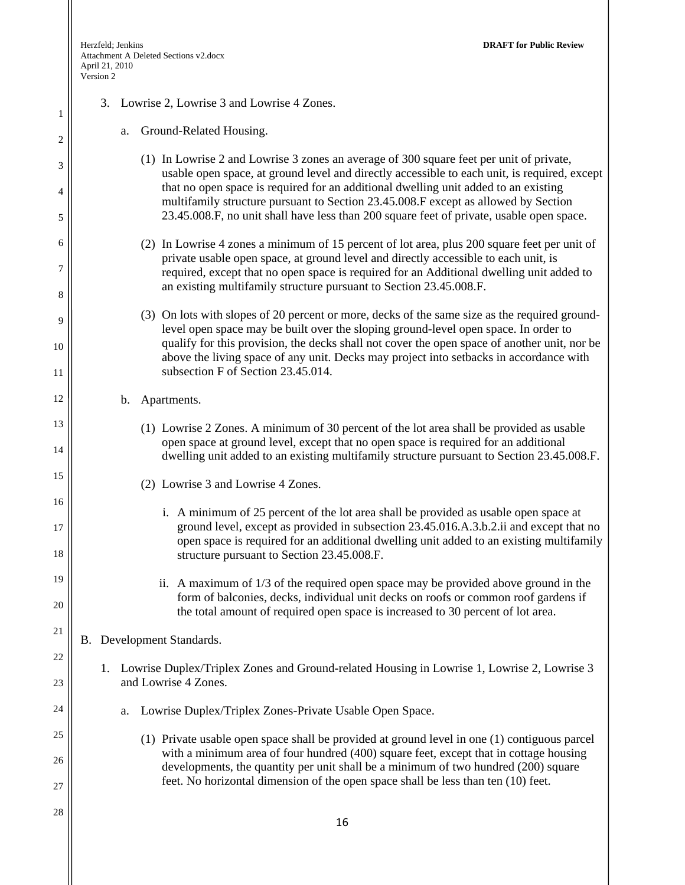1

2

3

4

5

6

7

8

9

10

11

12

13

14

15

16

17

18

19

20

21

22

23

24

25

26

27

28

| 3. Lowrise 2, Lowrise 3 and Lowrise 4 Zones. |  |
|----------------------------------------------|--|
|----------------------------------------------|--|

| Ground-Related Housing. |  |
|-------------------------|--|
|-------------------------|--|

- (1) In Lowrise 2 and Lowrise 3 zones an average of 300 square feet per unit of private, usable open space, at ground level and directly accessible to each unit, is required, except that no open space is required for an additional dwelling unit added to an existing multifamily structure pursuant to Section 23.45.008.F except as allowed by Section 23.45.008.F, no unit shall have less than 200 square feet of private, usable open space.
- (2) In Lowrise 4 zones a minimum of 15 percent of lot area, plus 200 square feet per unit of private usable open space, at ground level and directly accessible to each unit, is required, except that no open space is required for an Additional dwelling unit added to an existing multifamily structure pursuant to Section 23.45.008.F.
- (3) On lots with slopes of 20 percent or more, decks of the same size as the required groundlevel open space may be built over the sloping ground-level open space. In order to qualify for this provision, the decks shall not cover the open space of another unit, nor be above the living space of any unit. Decks may project into setbacks in accordance with subsection F of Section 23.45.014.
- b. Apartments.
	- (1) Lowrise 2 Zones. A minimum of 30 percent of the lot area shall be provided as usable open space at ground level, except that no open space is required for an additional dwelling unit added to an existing multifamily structure pursuant to Section 23.45.008.F.
	- (2) Lowrise 3 and Lowrise 4 Zones.
		- i. A minimum of 25 percent of the lot area shall be provided as usable open space at ground level, except as provided in subsection 23.45.016.A.3.b.2.ii and except that no open space is required for an additional dwelling unit added to an existing multifamily structure pursuant to Section 23.45.008.F.
		- ii. A maximum of 1/3 of the required open space may be provided above ground in the form of balconies, decks, individual unit decks on roofs or common roof gardens if the total amount of required open space is increased to 30 percent of lot area.
- B. Development Standards.
	- 1. Lowrise Duplex/Triplex Zones and Ground-related Housing in Lowrise 1, Lowrise 2, Lowrise 3 and Lowrise 4 Zones.
		- a. Lowrise Duplex/Triplex Zones-Private Usable Open Space.
			- (1) Private usable open space shall be provided at ground level in one (1) contiguous parcel with a minimum area of four hundred (400) square feet, except that in cottage housing developments, the quantity per unit shall be a minimum of two hundred (200) square feet. No horizontal dimension of the open space shall be less than ten (10) feet.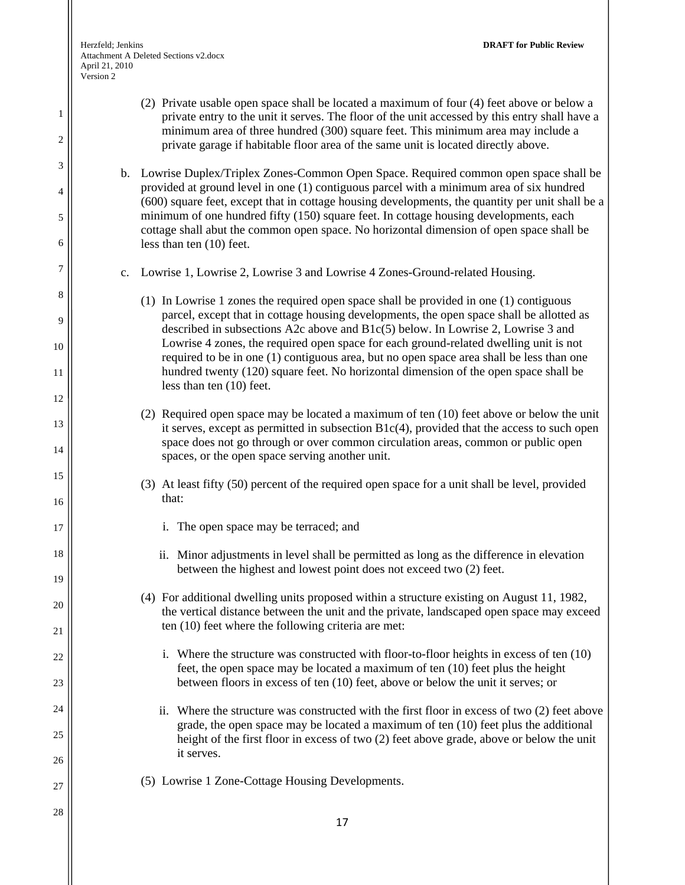1

2

3

4

5

6

7

8

9

10

11

12

13

14

15

16

17

18

19

20

21

22

23

24

25

26

27

- (2) Private usable open space shall be located a maximum of four (4) feet above or below a private entry to the unit it serves. The floor of the unit accessed by this entry shall have a minimum area of three hundred (300) square feet. This minimum area may include a private garage if habitable floor area of the same unit is located directly above.
- b. Lowrise Duplex/Triplex Zones-Common Open Space. Required common open space shall be provided at ground level in one (1) contiguous parcel with a minimum area of six hundred (600) square feet, except that in cottage housing developments, the quantity per unit shall be a minimum of one hundred fifty (150) square feet. In cottage housing developments, each cottage shall abut the common open space. No horizontal dimension of open space shall be less than ten (10) feet.
- c. Lowrise 1, Lowrise 2, Lowrise 3 and Lowrise 4 Zones-Ground-related Housing.
	- (1) In Lowrise 1 zones the required open space shall be provided in one (1) contiguous parcel, except that in cottage housing developments, the open space shall be allotted as described in subsections A2c above and B1c(5) below. In Lowrise 2, Lowrise 3 and Lowrise 4 zones, the required open space for each ground-related dwelling unit is not required to be in one (1) contiguous area, but no open space area shall be less than one hundred twenty (120) square feet. No horizontal dimension of the open space shall be less than ten (10) feet.
	- (2) Required open space may be located a maximum of ten (10) feet above or below the unit it serves, except as permitted in subsection  $B1c(4)$ , provided that the access to such open space does not go through or over common circulation areas, common or public open spaces, or the open space serving another unit.
	- (3) At least fifty (50) percent of the required open space for a unit shall be level, provided that:
		- i. The open space may be terraced; and
		- ii. Minor adjustments in level shall be permitted as long as the difference in elevation between the highest and lowest point does not exceed two (2) feet.
	- (4) For additional dwelling units proposed within a structure existing on August 11, 1982, the vertical distance between the unit and the private, landscaped open space may exceed ten (10) feet where the following criteria are met:
		- i. Where the structure was constructed with floor-to-floor heights in excess of ten (10) feet, the open space may be located a maximum of ten (10) feet plus the height between floors in excess of ten (10) feet, above or below the unit it serves; or
		- ii. Where the structure was constructed with the first floor in excess of two (2) feet above grade, the open space may be located a maximum of ten (10) feet plus the additional height of the first floor in excess of two (2) feet above grade, above or below the unit it serves.
	- (5) Lowrise 1 Zone-Cottage Housing Developments.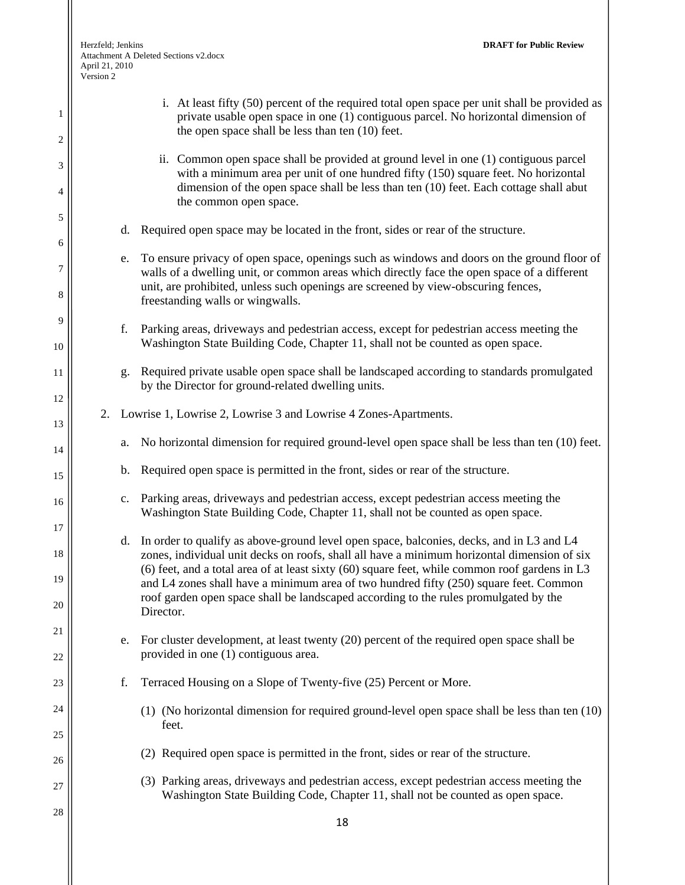1

2

3

4

5

6

7

8

9

10

11

12

13

14

15

16

17

18

19

20

21

22

23

24

25

26

27

| April 21, 2010<br>Version 2 | $A$ ttachment $A$ Defeted Sections $v_2$ , doc $x$                                                                                                                                                                                                                                                                                                                                                                                                                                           |
|-----------------------------|----------------------------------------------------------------------------------------------------------------------------------------------------------------------------------------------------------------------------------------------------------------------------------------------------------------------------------------------------------------------------------------------------------------------------------------------------------------------------------------------|
|                             | i. At least fifty (50) percent of the required total open space per unit shall be provided as<br>private usable open space in one (1) contiguous parcel. No horizontal dimension of<br>the open space shall be less than ten (10) feet.                                                                                                                                                                                                                                                      |
|                             | ii. Common open space shall be provided at ground level in one (1) contiguous parcel<br>with a minimum area per unit of one hundred fifty (150) square feet. No horizontal<br>dimension of the open space shall be less than ten (10) feet. Each cottage shall abut<br>the common open space.                                                                                                                                                                                                |
|                             | d. Required open space may be located in the front, sides or rear of the structure.                                                                                                                                                                                                                                                                                                                                                                                                          |
|                             | e. To ensure privacy of open space, openings such as windows and doors on the ground floor of<br>walls of a dwelling unit, or common areas which directly face the open space of a different<br>unit, are prohibited, unless such openings are screened by view-obscuring fences,<br>freestanding walls or wingwalls.                                                                                                                                                                        |
| f.                          | Parking areas, driveways and pedestrian access, except for pedestrian access meeting the<br>Washington State Building Code, Chapter 11, shall not be counted as open space.                                                                                                                                                                                                                                                                                                                  |
| g.                          | Required private usable open space shall be landscaped according to standards promulgated<br>by the Director for ground-related dwelling units.                                                                                                                                                                                                                                                                                                                                              |
|                             | 2. Lowrise 1, Lowrise 2, Lowrise 3 and Lowrise 4 Zones-Apartments.                                                                                                                                                                                                                                                                                                                                                                                                                           |
| a.                          | No horizontal dimension for required ground-level open space shall be less than ten (10) feet.                                                                                                                                                                                                                                                                                                                                                                                               |
| b.                          | Required open space is permitted in the front, sides or rear of the structure.                                                                                                                                                                                                                                                                                                                                                                                                               |
|                             | c. Parking areas, driveways and pedestrian access, except pedestrian access meeting the<br>Washington State Building Code, Chapter 11, shall not be counted as open space.                                                                                                                                                                                                                                                                                                                   |
|                             | d. In order to qualify as above-ground level open space, balconies, decks, and in L3 and L4<br>zones, individual unit decks on roofs, shall all have a minimum horizontal dimension of six<br>(6) feet, and a total area of at least sixty $(60)$ square feet, while common roof gardens in L3<br>and L4 zones shall have a minimum area of two hundred fifty (250) square feet. Common<br>roof garden open space shall be landscaped according to the rules promulgated by the<br>Director. |
| e.                          | For cluster development, at least twenty (20) percent of the required open space shall be<br>provided in one (1) contiguous area.                                                                                                                                                                                                                                                                                                                                                            |
| f.                          | Terraced Housing on a Slope of Twenty-five (25) Percent or More.                                                                                                                                                                                                                                                                                                                                                                                                                             |
|                             | (1) (No horizontal dimension for required ground-level open space shall be less than ten (10)<br>feet.                                                                                                                                                                                                                                                                                                                                                                                       |
|                             | (2) Required open space is permitted in the front, sides or rear of the structure.                                                                                                                                                                                                                                                                                                                                                                                                           |
|                             | (3) Parking areas, driveways and pedestrian access, except pedestrian access meeting the<br>Washington State Building Code, Chapter 11, shall not be counted as open space.                                                                                                                                                                                                                                                                                                                  |
|                             | 18                                                                                                                                                                                                                                                                                                                                                                                                                                                                                           |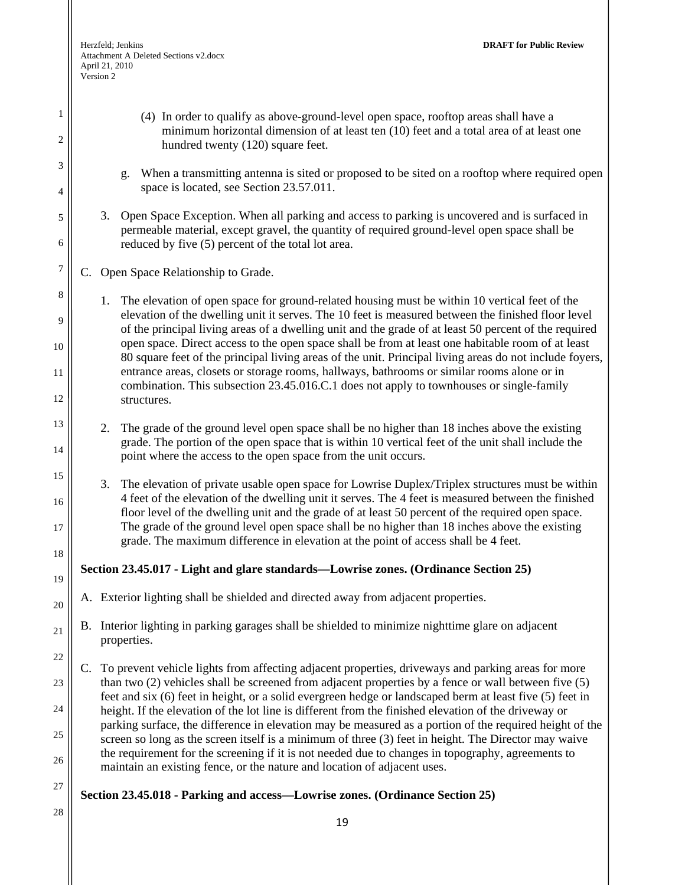1

2

3

4

5

6

7

8

9

10

11

12

13

14

15

16

17

18

19

20

21

22

23

24

25

26

27

- (4) In order to qualify as above-ground-level open space, rooftop areas shall have a minimum horizontal dimension of at least ten (10) feet and a total area of at least one hundred twenty (120) square feet. g. When a transmitting antenna is sited or proposed to be sited on a rooftop where required open space is located, see Section 23.57.011. 3. Open Space Exception. When all parking and access to parking is uncovered and is surfaced in permeable material, except gravel, the quantity of required ground-level open space shall be reduced by five (5) percent of the total lot area. C. Open Space Relationship to Grade. 1. The elevation of open space for ground-related housing must be within 10 vertical feet of the elevation of the dwelling unit it serves. The 10 feet is measured between the finished floor level of the principal living areas of a dwelling unit and the grade of at least 50 percent of the required open space. Direct access to the open space shall be from at least one habitable room of at least 80 square feet of the principal living areas of the unit. Principal living areas do not include foyers, entrance areas, closets or storage rooms, hallways, bathrooms or similar rooms alone or in combination. This subsection 23.45.016.C.1 does not apply to townhouses or single-family structures. 2. The grade of the ground level open space shall be no higher than 18 inches above the existing
	- grade. The portion of the open space that is within 10 vertical feet of the unit shall include the point where the access to the open space from the unit occurs.
		- 3. The elevation of private usable open space for Lowrise Duplex/Triplex structures must be within 4 feet of the elevation of the dwelling unit it serves. The 4 feet is measured between the finished floor level of the dwelling unit and the grade of at least 50 percent of the required open space. The grade of the ground level open space shall be no higher than 18 inches above the existing grade. The maximum difference in elevation at the point of access shall be 4 feet.

## **Section 23.45.017 - Light and glare standards—Lowrise zones. (Ordinance Section 25)**

- A. Exterior lighting shall be shielded and directed away from adjacent properties.
- B. Interior lighting in parking garages shall be shielded to minimize nighttime glare on adjacent properties.
- C. To prevent vehicle lights from affecting adjacent properties, driveways and parking areas for more than two (2) vehicles shall be screened from adjacent properties by a fence or wall between five (5) feet and six (6) feet in height, or a solid evergreen hedge or landscaped berm at least five (5) feet in height. If the elevation of the lot line is different from the finished elevation of the driveway or parking surface, the difference in elevation may be measured as a portion of the required height of the screen so long as the screen itself is a minimum of three (3) feet in height. The Director may waive the requirement for the screening if it is not needed due to changes in topography, agreements to maintain an existing fence, or the nature and location of adjacent uses.

#### **Section 23.45.018 - Parking and access—Lowrise zones. (Ordinance Section 25)**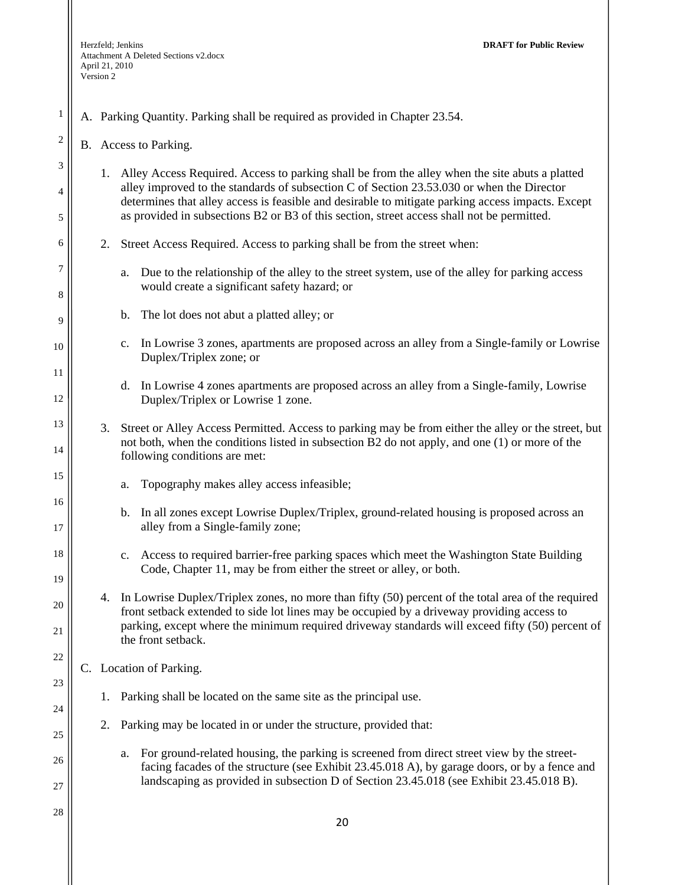1

6

7

8

9

10

11

12

13

14

15

16

17

18

19

20

21

22

23

24

25

26

27

|               | <sup>2</sup> $\parallel$ B. Access to Parking.                                                    |
|---------------|---------------------------------------------------------------------------------------------------|
|               | 1. Alley Access Required. Access to parking shall be from the alley when the site abuts a platted |
| 4             | alley improved to the standards of subsection C of Section 23.53.030 or when the Director         |
|               | determines that alley access is feasible and desirable to mitigate parking access impacts. Except |
| $\frac{1}{5}$ | as provided in subsections B2 or B3 of this section, street access shall not be permitted.        |

A. Parking Quantity. Parking shall be required as provided in Chapter 23.54.

- 2. Street Access Required. Access to parking shall be from the street when:
	- a. Due to the relationship of the alley to the street system, use of the alley for parking access would create a significant safety hazard; or
	- b. The lot does not abut a platted alley; or
	- c. In Lowrise 3 zones, apartments are proposed across an alley from a Single-family or Lowrise Duplex/Triplex zone; or
	- d. In Lowrise 4 zones apartments are proposed across an alley from a Single-family, Lowrise Duplex/Triplex or Lowrise 1 zone.
- 3. Street or Alley Access Permitted. Access to parking may be from either the alley or the street, but not both, when the conditions listed in subsection B2 do not apply, and one (1) or more of the following conditions are met:
	- a. Topography makes alley access infeasible;
	- b. In all zones except Lowrise Duplex/Triplex, ground-related housing is proposed across an alley from a Single-family zone;
	- c. Access to required barrier-free parking spaces which meet the Washington State Building Code, Chapter 11, may be from either the street or alley, or both.
- 4. In Lowrise Duplex/Triplex zones, no more than fifty (50) percent of the total area of the required front setback extended to side lot lines may be occupied by a driveway providing access to parking, except where the minimum required driveway standards will exceed fifty (50) percent of the front setback.
- C. Location of Parking.
	- 1. Parking shall be located on the same site as the principal use.
	- 2. Parking may be located in or under the structure, provided that:
		- a. For ground-related housing, the parking is screened from direct street view by the streetfacing facades of the structure (see Exhibit 23.45.018 A), by garage doors, or by a fence and landscaping as provided in subsection D of Section 23.45.018 (see Exhibit 23.45.018 B).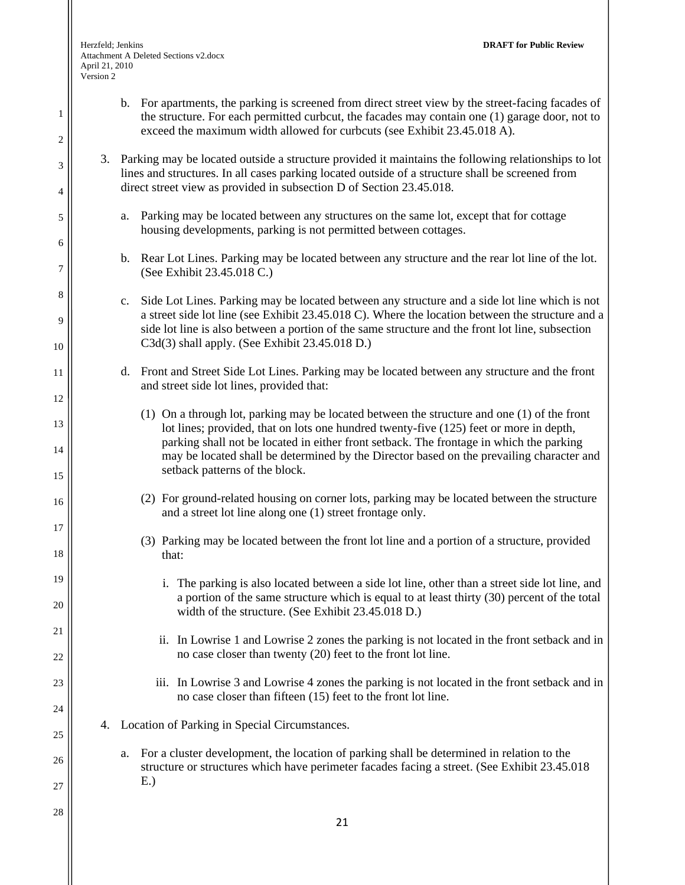1

2

3

4

5

6

7

8

9

10

11

12

13

14

15

16

17

18

19

20

21

22

23

24

25

- b. For apartments, the parking is screened from direct street view by the street-facing facades of the structure. For each permitted curbcut, the facades may contain one (1) garage door, not to exceed the maximum width allowed for curbcuts (see Exhibit 23.45.018 A). 3. Parking may be located outside a structure provided it maintains the following relationships to lot lines and structures. In all cases parking located outside of a structure shall be screened from
	- a. Parking may be located between any structures on the same lot, except that for cottage housing developments, parking is not permitted between cottages.

direct street view as provided in subsection D of Section 23.45.018.

- b. Rear Lot Lines. Parking may be located between any structure and the rear lot line of the lot. (See Exhibit 23.45.018 C.)
- c. Side Lot Lines. Parking may be located between any structure and a side lot line which is not a street side lot line (see Exhibit 23.45.018 C). Where the location between the structure and a side lot line is also between a portion of the same structure and the front lot line, subsection C3d(3) shall apply. (See Exhibit 23.45.018 D.)
- d. Front and Street Side Lot Lines. Parking may be located between any structure and the front and street side lot lines, provided that:
	- (1) On a through lot, parking may be located between the structure and one (1) of the front lot lines; provided, that on lots one hundred twenty-five (125) feet or more in depth, parking shall not be located in either front setback. The frontage in which the parking may be located shall be determined by the Director based on the prevailing character and setback patterns of the block.
	- (2) For ground-related housing on corner lots, parking may be located between the structure and a street lot line along one (1) street frontage only.
	- (3) Parking may be located between the front lot line and a portion of a structure, provided that:
		- i. The parking is also located between a side lot line, other than a street side lot line, and a portion of the same structure which is equal to at least thirty (30) percent of the total width of the structure. (See Exhibit 23.45.018 D.)
		- ii. In Lowrise 1 and Lowrise 2 zones the parking is not located in the front setback and in no case closer than twenty (20) feet to the front lot line.
		- iii. In Lowrise 3 and Lowrise 4 zones the parking is not located in the front setback and in no case closer than fifteen (15) feet to the front lot line.
- 4. Location of Parking in Special Circumstances.
	- a. For a cluster development, the location of parking shall be determined in relation to the structure or structures which have perimeter facades facing a street. (See Exhibit 23.45.018 E.)

26 27 28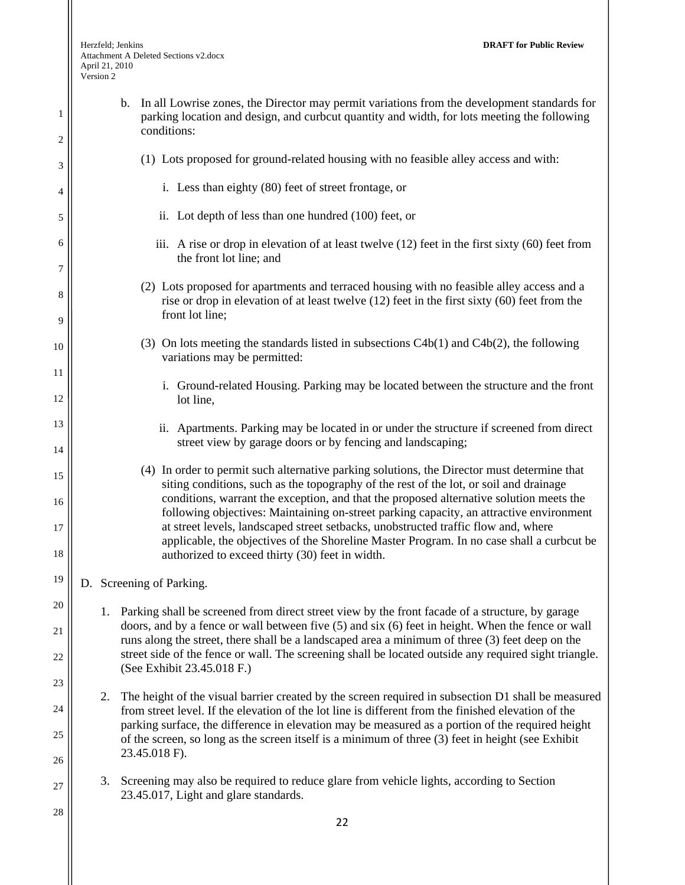| 1<br>2               | In all Lowrise zones, the Director may permit variations from the development standards for<br>b.<br>parking location and design, and curbcut quantity and width, for lots meeting the following<br>conditions:                                                                                                                                                                                                                                                                                                                                                                                                   |
|----------------------|-------------------------------------------------------------------------------------------------------------------------------------------------------------------------------------------------------------------------------------------------------------------------------------------------------------------------------------------------------------------------------------------------------------------------------------------------------------------------------------------------------------------------------------------------------------------------------------------------------------------|
| 3                    | (1) Lots proposed for ground-related housing with no feasible alley access and with:                                                                                                                                                                                                                                                                                                                                                                                                                                                                                                                              |
| 4                    | i. Less than eighty (80) feet of street frontage, or                                                                                                                                                                                                                                                                                                                                                                                                                                                                                                                                                              |
| 5                    | ii. Lot depth of less than one hundred (100) feet, or                                                                                                                                                                                                                                                                                                                                                                                                                                                                                                                                                             |
| 6<br>7               | iii. A rise or drop in elevation of at least twelve $(12)$ feet in the first sixty $(60)$ feet from<br>the front lot line; and                                                                                                                                                                                                                                                                                                                                                                                                                                                                                    |
| 8<br>9               | (2) Lots proposed for apartments and terraced housing with no feasible alley access and a<br>rise or drop in elevation of at least twelve $(12)$ feet in the first sixty $(60)$ feet from the<br>front lot line;                                                                                                                                                                                                                                                                                                                                                                                                  |
| 10                   | (3) On lots meeting the standards listed in subsections $C4b(1)$ and $C4b(2)$ , the following<br>variations may be permitted:                                                                                                                                                                                                                                                                                                                                                                                                                                                                                     |
| 11<br>12             | i. Ground-related Housing. Parking may be located between the structure and the front<br>lot line,                                                                                                                                                                                                                                                                                                                                                                                                                                                                                                                |
| 13<br>14             | ii. Apartments. Parking may be located in or under the structure if screened from direct<br>street view by garage doors or by fencing and landscaping;                                                                                                                                                                                                                                                                                                                                                                                                                                                            |
| 15<br>16<br>17<br>18 | (4) In order to permit such alternative parking solutions, the Director must determine that<br>siting conditions, such as the topography of the rest of the lot, or soil and drainage<br>conditions, warrant the exception, and that the proposed alternative solution meets the<br>following objectives: Maintaining on-street parking capacity, an attractive environment<br>at street levels, landscaped street setbacks, unobstructed traffic flow and, where<br>applicable, the objectives of the Shoreline Master Program. In no case shall a curbcut be<br>authorized to exceed thirty (30) feet in width. |
| 19                   | D. Screening of Parking.                                                                                                                                                                                                                                                                                                                                                                                                                                                                                                                                                                                          |
| 20                   | 1. Parking shall be screened from direct street view by the front facade of a structure, by garage                                                                                                                                                                                                                                                                                                                                                                                                                                                                                                                |
| 21                   | doors, and by a fence or wall between five $(5)$ and six $(6)$ feet in height. When the fence or wall<br>runs along the street, there shall be a landscaped area a minimum of three (3) feet deep on the                                                                                                                                                                                                                                                                                                                                                                                                          |
| 22<br>23             | street side of the fence or wall. The screening shall be located outside any required sight triangle.<br>(See Exhibit 23.45.018 F.)                                                                                                                                                                                                                                                                                                                                                                                                                                                                               |
| 24                   | The height of the visual barrier created by the screen required in subsection D1 shall be measured<br>2.<br>from street level. If the elevation of the lot line is different from the finished elevation of the                                                                                                                                                                                                                                                                                                                                                                                                   |
| 25                   | parking surface, the difference in elevation may be measured as a portion of the required height<br>of the screen, so long as the screen itself is a minimum of three (3) feet in height (see Exhibit                                                                                                                                                                                                                                                                                                                                                                                                             |
| 26                   | 23.45.018 F).                                                                                                                                                                                                                                                                                                                                                                                                                                                                                                                                                                                                     |
| 27                   | 3.<br>Screening may also be required to reduce glare from vehicle lights, according to Section<br>23.45.017, Light and glare standards.                                                                                                                                                                                                                                                                                                                                                                                                                                                                           |
| 28                   | 22                                                                                                                                                                                                                                                                                                                                                                                                                                                                                                                                                                                                                |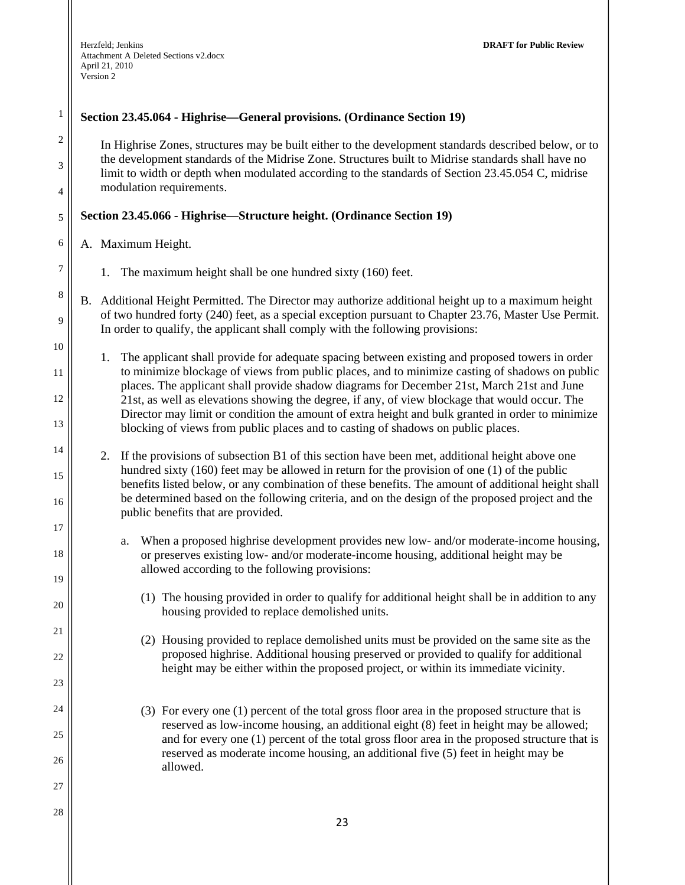## **Section 23.45.064 - Highrise—General provisions. (Ordinance Section 19)**

In Highrise Zones, structures may be built either to the development standards described below, or to the development standards of the Midrise Zone. Structures built to Midrise standards shall have no limit to width or depth when modulated according to the standards of Section 23.45.054 C, midrise modulation requirements.

#### **Section 23.45.066 - Highrise—Structure height. (Ordinance Section 19)**

A. Maximum Height.

1

2

3

4

5

6

7

8

9

10

11

12

13

14

15

16

17

18

19

20

21

22

23

24

25

26

27

28

- 1. The maximum height shall be one hundred sixty (160) feet.
- B. Additional Height Permitted. The Director may authorize additional height up to a maximum height of two hundred forty (240) feet, as a special exception pursuant to Chapter 23.76, Master Use Permit. In order to qualify, the applicant shall comply with the following provisions:

1. The applicant shall provide for adequate spacing between existing and proposed towers in order to minimize blockage of views from public places, and to minimize casting of shadows on public places. The applicant shall provide shadow diagrams for December 21st, March 21st and June 21st, as well as elevations showing the degree, if any, of view blockage that would occur. The Director may limit or condition the amount of extra height and bulk granted in order to minimize blocking of views from public places and to casting of shadows on public places.

- 2. If the provisions of subsection B1 of this section have been met, additional height above one hundred sixty (160) feet may be allowed in return for the provision of one (1) of the public benefits listed below, or any combination of these benefits. The amount of additional height shall be determined based on the following criteria, and on the design of the proposed project and the public benefits that are provided.
	- a. When a proposed highrise development provides new low- and/or moderate-income housing, or preserves existing low- and/or moderate-income housing, additional height may be allowed according to the following provisions:
		- (1) The housing provided in order to qualify for additional height shall be in addition to any housing provided to replace demolished units.
		- (2) Housing provided to replace demolished units must be provided on the same site as the proposed highrise. Additional housing preserved or provided to qualify for additional height may be either within the proposed project, or within its immediate vicinity.
		- (3) For every one (1) percent of the total gross floor area in the proposed structure that is reserved as low-income housing, an additional eight (8) feet in height may be allowed; and for every one (1) percent of the total gross floor area in the proposed structure that is reserved as moderate income housing, an additional five (5) feet in height may be allowed.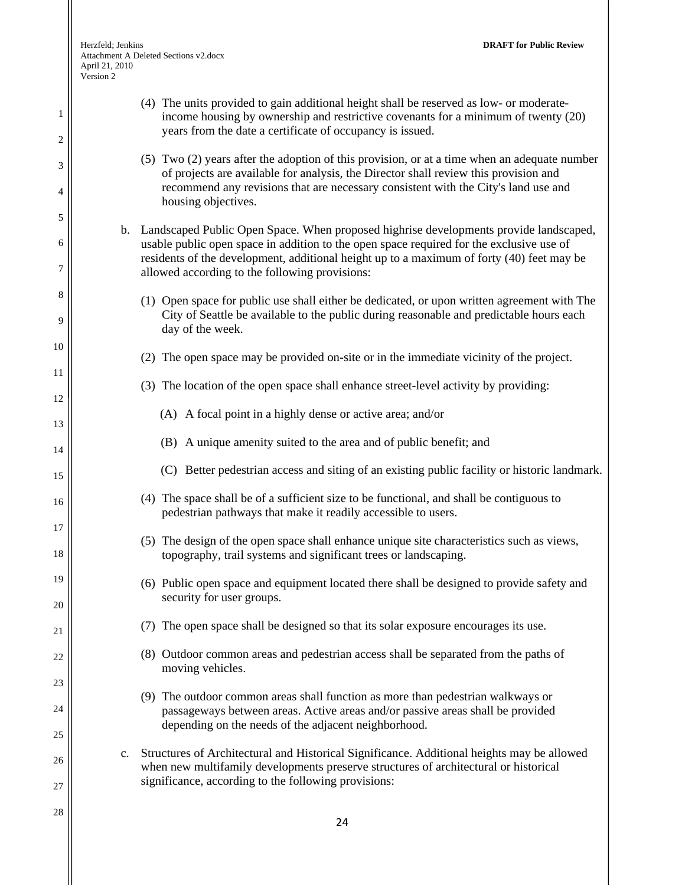1

2

3

4

5

6

7

8

9

10

11

12

13

14

15

16

17

18

19

20

21

22

23

24

25

26

27

28

(4) The units provided to gain additional height shall be reserved as low- or moderateincome housing by ownership and restrictive covenants for a minimum of twenty (20) years from the date a certificate of occupancy is issued.

#### (5) Two (2) years after the adoption of this provision, or at a time when an adequate number of projects are available for analysis, the Director shall review this provision and recommend any revisions that are necessary consistent with the City's land use and housing objectives.

- b. Landscaped Public Open Space. When proposed highrise developments provide landscaped, usable public open space in addition to the open space required for the exclusive use of residents of the development, additional height up to a maximum of forty (40) feet may be allowed according to the following provisions:
	- (1) Open space for public use shall either be dedicated, or upon written agreement with The City of Seattle be available to the public during reasonable and predictable hours each day of the week.
	- (2) The open space may be provided on-site or in the immediate vicinity of the project.
	- (3) The location of the open space shall enhance street-level activity by providing:
		- (A) A focal point in a highly dense or active area; and/or
		- (B) A unique amenity suited to the area and of public benefit; and
		- (C) Better pedestrian access and siting of an existing public facility or historic landmark.
	- (4) The space shall be of a sufficient size to be functional, and shall be contiguous to pedestrian pathways that make it readily accessible to users.
	- (5) The design of the open space shall enhance unique site characteristics such as views, topography, trail systems and significant trees or landscaping.
	- (6) Public open space and equipment located there shall be designed to provide safety and security for user groups.
	- (7) The open space shall be designed so that its solar exposure encourages its use.
	- (8) Outdoor common areas and pedestrian access shall be separated from the paths of moving vehicles.
	- (9) The outdoor common areas shall function as more than pedestrian walkways or passageways between areas. Active areas and/or passive areas shall be provided depending on the needs of the adjacent neighborhood.
- c. Structures of Architectural and Historical Significance. Additional heights may be allowed when new multifamily developments preserve structures of architectural or historical significance, according to the following provisions: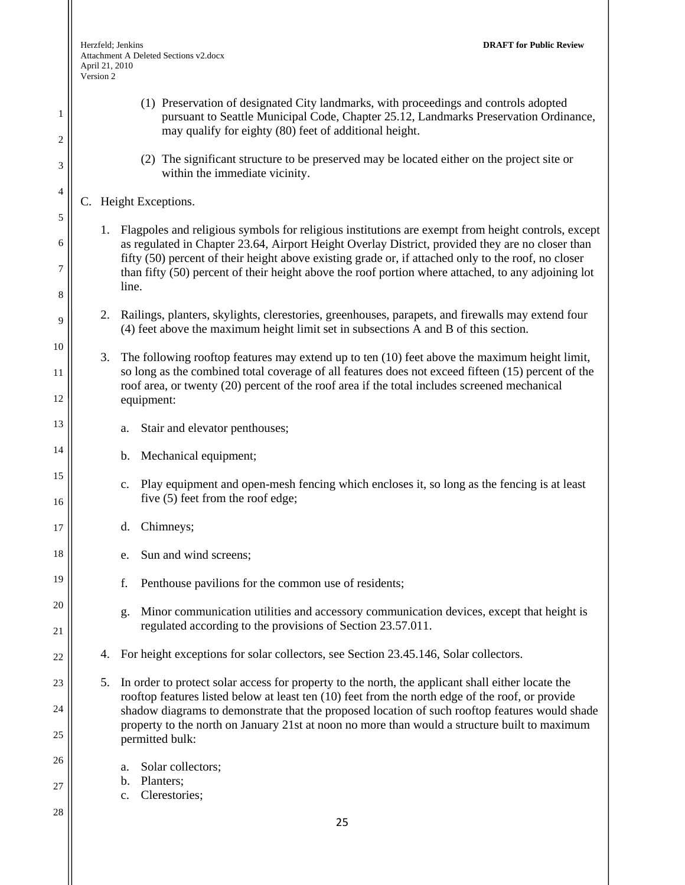- (1) Preservation of designated City landmarks, with proceedings and controls adopted pursuant to Seattle Municipal Code, Chapter 25.12, Landmarks Preservation Ordinance, may qualify for eighty (80) feet of additional height.
- (2) The significant structure to be preserved may be located either on the project site or within the immediate vicinity.

#### C. Height Exceptions.

1

2

3

4

5

6

7

8

9

10

11

12

13

14

15

16

17

18

19

20

21

22

23

24

25

26

27

- 1. Flagpoles and religious symbols for religious institutions are exempt from height controls, except as regulated in Chapter 23.64, Airport Height Overlay District, provided they are no closer than fifty (50) percent of their height above existing grade or, if attached only to the roof, no closer than fifty (50) percent of their height above the roof portion where attached, to any adjoining lot line.
- 2. Railings, planters, skylights, clerestories, greenhouses, parapets, and firewalls may extend four (4) feet above the maximum height limit set in subsections A and B of this section.
- 3. The following rooftop features may extend up to ten (10) feet above the maximum height limit, so long as the combined total coverage of all features does not exceed fifteen (15) percent of the roof area, or twenty (20) percent of the roof area if the total includes screened mechanical equipment:
	- a. Stair and elevator penthouses;
	- b. Mechanical equipment;
	- c. Play equipment and open-mesh fencing which encloses it, so long as the fencing is at least five (5) feet from the roof edge;
	- d. Chimneys;
	- e. Sun and wind screens;
	- f. Penthouse pavilions for the common use of residents;
	- g. Minor communication utilities and accessory communication devices, except that height is regulated according to the provisions of Section 23.57.011.
- 4. For height exceptions for solar collectors, see Section 23.45.146, Solar collectors.
- 5. In order to protect solar access for property to the north, the applicant shall either locate the rooftop features listed below at least ten (10) feet from the north edge of the roof, or provide shadow diagrams to demonstrate that the proposed location of such rooftop features would shade property to the north on January 21st at noon no more than would a structure built to maximum permitted bulk:
	- a. Solar collectors;
	- b. Planters;
	- c. Clerestories;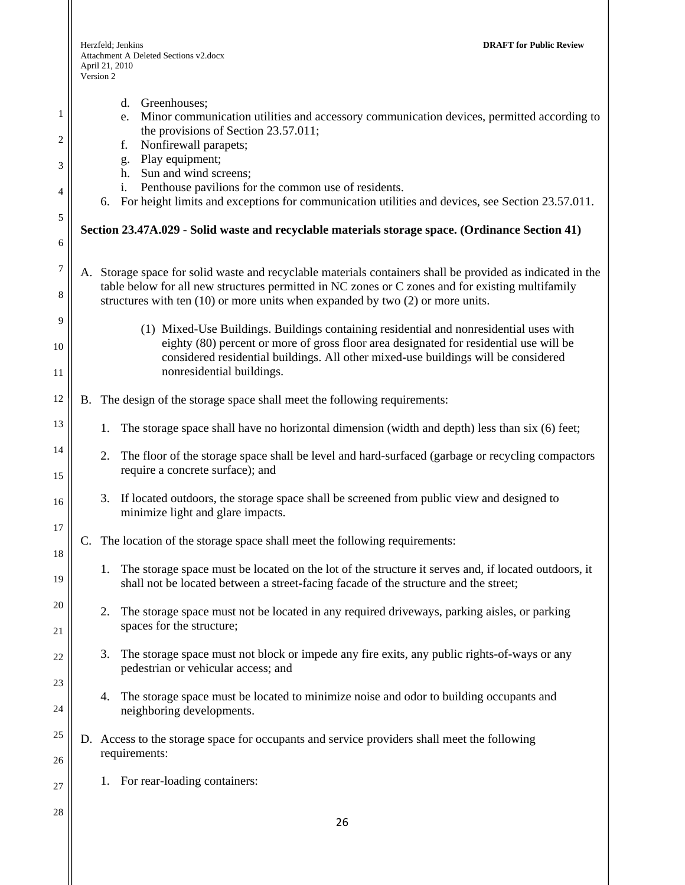| 1                     | Greenhouses;<br>$d_{\cdot}$<br>Minor communication utilities and accessory communication devices, permitted according to<br>e.                                                                                                                                                                       |
|-----------------------|------------------------------------------------------------------------------------------------------------------------------------------------------------------------------------------------------------------------------------------------------------------------------------------------------|
| 2                     | the provisions of Section 23.57.011;<br>Nonfirewall parapets;<br>f.                                                                                                                                                                                                                                  |
| 3                     | Play equipment;<br>g.<br>Sun and wind screens;<br>h.                                                                                                                                                                                                                                                 |
| 4                     | Penthouse pavilions for the common use of residents.<br>i.<br>6. For height limits and exceptions for communication utilities and devices, see Section 23.57.011.                                                                                                                                    |
| 5                     | Section 23.47A.029 - Solid waste and recyclable materials storage space. (Ordinance Section 41)                                                                                                                                                                                                      |
| 6                     |                                                                                                                                                                                                                                                                                                      |
| $\boldsymbol{7}$<br>8 | A. Storage space for solid waste and recyclable materials containers shall be provided as indicated in the<br>table below for all new structures permitted in NC zones or C zones and for existing multifamily<br>structures with ten $(10)$ or more units when expanded by two $(2)$ or more units. |
| 9                     | (1) Mixed-Use Buildings. Buildings containing residential and nonresidential uses with                                                                                                                                                                                                               |
| 10                    | eighty (80) percent or more of gross floor area designated for residential use will be<br>considered residential buildings. All other mixed-use buildings will be considered                                                                                                                         |
| 11                    | nonresidential buildings.                                                                                                                                                                                                                                                                            |
| 12                    | B. The design of the storage space shall meet the following requirements:                                                                                                                                                                                                                            |
| 13                    | The storage space shall have no horizontal dimension (width and depth) less than six (6) feet;<br>1.                                                                                                                                                                                                 |
| 14<br>15              | 2.<br>The floor of the storage space shall be level and hard-surfaced (garbage or recycling compactors<br>require a concrete surface); and                                                                                                                                                           |
| 16                    | 3. If located outdoors, the storage space shall be screened from public view and designed to<br>minimize light and glare impacts.                                                                                                                                                                    |
| 17                    | The location of the storage space shall meet the following requirements:                                                                                                                                                                                                                             |
| 18<br>19              | 1. The storage space must be located on the lot of the structure it serves and, if located outdoors, it<br>shall not be located between a street-facing facade of the structure and the street;                                                                                                      |
| 20                    | The storage space must not be located in any required driveways, parking aisles, or parking<br>2.                                                                                                                                                                                                    |
| 21                    | spaces for the structure;                                                                                                                                                                                                                                                                            |
| 22                    | The storage space must not block or impede any fire exits, any public rights-of-ways or any<br>3.<br>pedestrian or vehicular access; and                                                                                                                                                             |
| 23                    |                                                                                                                                                                                                                                                                                                      |
| 24                    | The storage space must be located to minimize noise and odor to building occupants and<br>4.<br>neighboring developments.                                                                                                                                                                            |
| 25                    | D. Access to the storage space for occupants and service providers shall meet the following                                                                                                                                                                                                          |
| 26                    | requirements:                                                                                                                                                                                                                                                                                        |
| 27                    | For rear-loading containers:<br>1.                                                                                                                                                                                                                                                                   |
| 28                    | 26                                                                                                                                                                                                                                                                                                   |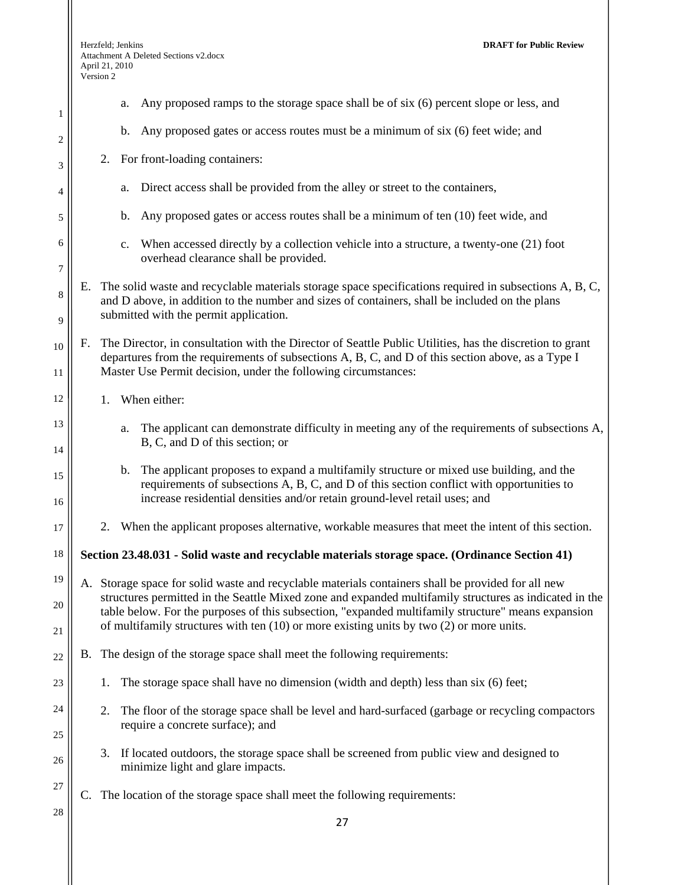1

2

3

4

5

6

7

8

9

10

11

12

13

14

15

16

17

18

22

23

24

25

26

27

- a. Any proposed ramps to the storage space shall be of six (6) percent slope or less, and
- b. Any proposed gates or access routes must be a minimum of six (6) feet wide; and
- 2. For front-loading containers:
	- a. Direct access shall be provided from the alley or street to the containers,
	- b. Any proposed gates or access routes shall be a minimum of ten (10) feet wide, and
	- c. When accessed directly by a collection vehicle into a structure, a twenty-one (21) foot overhead clearance shall be provided.
- E. The solid waste and recyclable materials storage space specifications required in subsections A, B, C, and D above, in addition to the number and sizes of containers, shall be included on the plans submitted with the permit application.
- F. The Director, in consultation with the Director of Seattle Public Utilities, has the discretion to grant departures from the requirements of subsections A, B, C, and D of this section above, as a Type I Master Use Permit decision, under the following circumstances:
	- 1. When either:
		- a. The applicant can demonstrate difficulty in meeting any of the requirements of subsections A, B, C, and D of this section; or
		- b. The applicant proposes to expand a multifamily structure or mixed use building, and the requirements of subsections A, B, C, and D of this section conflict with opportunities to increase residential densities and/or retain ground-level retail uses; and
		- 2. When the applicant proposes alternative, workable measures that meet the intent of this section.

**Section 23.48.031 - Solid waste and recyclable materials storage space. (Ordinance Section 41)** 

- 19 20 21 A. Storage space for solid waste and recyclable materials containers shall be provided for all new structures permitted in the Seattle Mixed zone and expanded multifamily structures as indicated in the table below. For the purposes of this subsection, "expanded multifamily structure" means expansion of multifamily structures with ten (10) or more existing units by two (2) or more units.
	- B. The design of the storage space shall meet the following requirements:
		- 1. The storage space shall have no dimension (width and depth) less than six (6) feet;
		- 2. The floor of the storage space shall be level and hard-surfaced (garbage or recycling compactors require a concrete surface); and
		- 3. If located outdoors, the storage space shall be screened from public view and designed to minimize light and glare impacts.
		- C. The location of the storage space shall meet the following requirements:
- 28